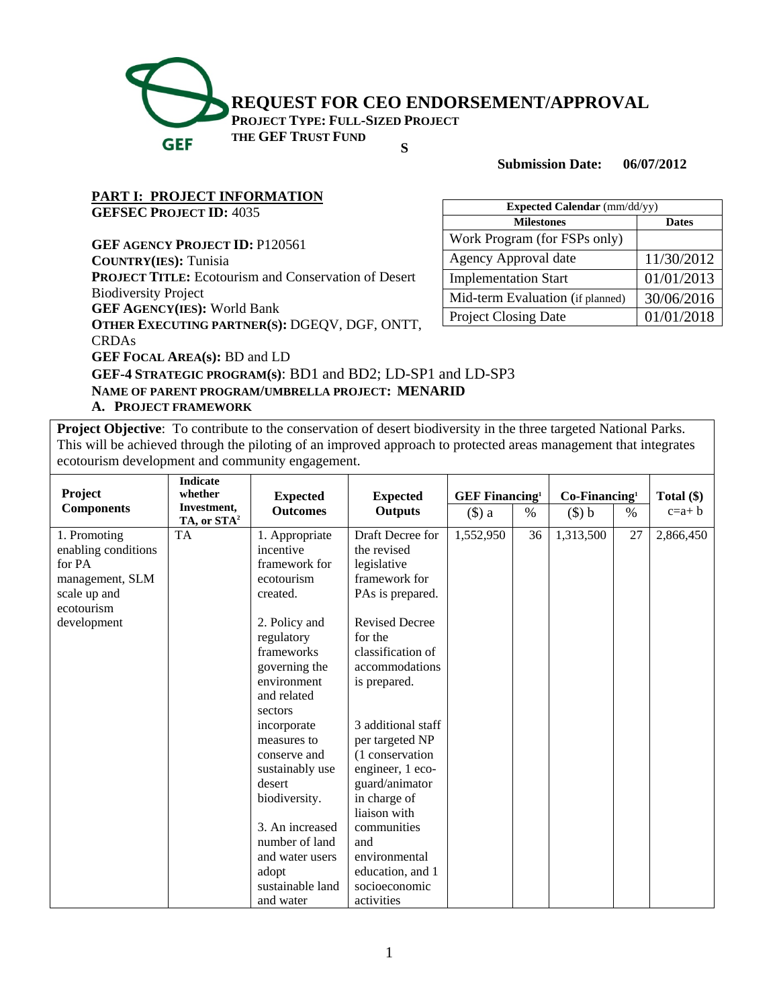

**Submission Date: 06/07/2012** 

# **PART I: PROJECT INFORMATION**

**GEFSEC PROJECT ID:** 4035

**GEF AGENCY PROJECT ID:** P120561

**COUNTRY(IES):** Tunisia

**PROJECT TITLE:** Ecotourism and Conservation of Desert Biodiversity Project

**GEF AGENCY(IES):** World Bank

**OTHER EXECUTING PARTNER(S):** DGEQV, DGF, ONTT,

CRDAs

**GEF FOCAL AREA(s):** BD and LD

| <b>Expected Calendar</b> (mm/dd/yy) |              |  |  |  |
|-------------------------------------|--------------|--|--|--|
| <b>Milestones</b>                   | <b>Dates</b> |  |  |  |
| Work Program (for FSPs only)        |              |  |  |  |
| <b>Agency Approval date</b>         | 11/30/2012   |  |  |  |
| <b>Implementation Start</b>         | 01/01/2013   |  |  |  |
| Mid-term Evaluation (if planned)    | 30/06/2016   |  |  |  |
| <b>Project Closing Date</b>         | 01/01/2018   |  |  |  |

**GEF-4 STRATEGIC PROGRAM(s)**: BD1 and BD2; LD-SP1 and LD-SP3 **NAME OF PARENT PROGRAM/UMBRELLA PROJECT: MENARID** 

**A. PROJECT FRAMEWORK** 

**Project Objective**: To contribute to the conservation of desert biodiversity in the three targeted National Parks. This will be achieved through the piloting of an improved approach to protected areas management that integrates ecotourism development and community engagement.

|                     | <b>Indicate</b>                        |                  |                       |                                   |    |                 |      |              |
|---------------------|----------------------------------------|------------------|-----------------------|-----------------------------------|----|-----------------|------|--------------|
| Project             | whether                                | <b>Expected</b>  | <b>Expected</b>       | <b>GEF Financing</b> <sup>1</sup> |    | $Co-Financing1$ |      | Total $(\$)$ |
| <b>Components</b>   | Investment,<br>TA, or STA <sup>2</sup> | <b>Outcomes</b>  | <b>Outputs</b>        | $(\$)$ a                          | %  | $(\$) b$        | $\%$ | $c=a+b$      |
| 1. Promoting        | <b>TA</b>                              | 1. Appropriate   | Draft Decree for      | 1,552,950                         | 36 | 1,313,500       | 27   | 2,866,450    |
| enabling conditions |                                        | incentive        | the revised           |                                   |    |                 |      |              |
| for PA              |                                        | framework for    | legislative           |                                   |    |                 |      |              |
| management, SLM     |                                        | ecotourism       | framework for         |                                   |    |                 |      |              |
| scale up and        |                                        | created.         | PAs is prepared.      |                                   |    |                 |      |              |
| ecotourism          |                                        |                  |                       |                                   |    |                 |      |              |
| development         |                                        | 2. Policy and    | <b>Revised Decree</b> |                                   |    |                 |      |              |
|                     |                                        | regulatory       | for the               |                                   |    |                 |      |              |
|                     |                                        | frameworks       | classification of     |                                   |    |                 |      |              |
|                     |                                        | governing the    | accommodations        |                                   |    |                 |      |              |
|                     |                                        | environment      | is prepared.          |                                   |    |                 |      |              |
|                     |                                        | and related      |                       |                                   |    |                 |      |              |
|                     |                                        | sectors          |                       |                                   |    |                 |      |              |
|                     |                                        | incorporate      | 3 additional staff    |                                   |    |                 |      |              |
|                     |                                        | measures to      | per targeted NP       |                                   |    |                 |      |              |
|                     |                                        | conserve and     | (1 conservation)      |                                   |    |                 |      |              |
|                     |                                        | sustainably use  | engineer, 1 eco-      |                                   |    |                 |      |              |
|                     |                                        | desert           | guard/animator        |                                   |    |                 |      |              |
|                     |                                        | biodiversity.    | in charge of          |                                   |    |                 |      |              |
|                     |                                        |                  | liaison with          |                                   |    |                 |      |              |
|                     |                                        | 3. An increased  | communities           |                                   |    |                 |      |              |
|                     |                                        | number of land   | and                   |                                   |    |                 |      |              |
|                     |                                        | and water users  | environmental         |                                   |    |                 |      |              |
|                     |                                        | adopt            | education, and 1      |                                   |    |                 |      |              |
|                     |                                        | sustainable land | socioeconomic         |                                   |    |                 |      |              |
|                     |                                        | and water        | activities            |                                   |    |                 |      |              |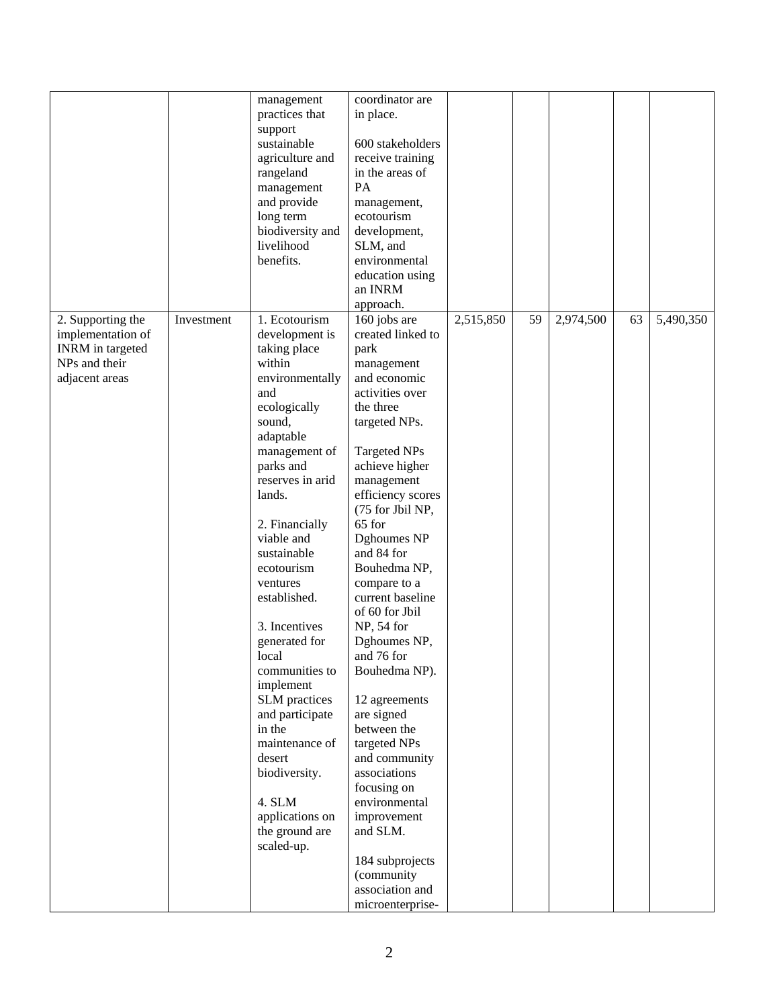|                   |            | management                | coordinator are                    |           |    |           |    |           |
|-------------------|------------|---------------------------|------------------------------------|-----------|----|-----------|----|-----------|
|                   |            | practices that            | in place.                          |           |    |           |    |           |
|                   |            | support                   |                                    |           |    |           |    |           |
|                   |            | sustainable               | 600 stakeholders                   |           |    |           |    |           |
|                   |            | agriculture and           | receive training                   |           |    |           |    |           |
|                   |            | rangeland                 | in the areas of                    |           |    |           |    |           |
|                   |            | management                | PA                                 |           |    |           |    |           |
|                   |            | and provide               | management,                        |           |    |           |    |           |
|                   |            | long term                 | ecotourism                         |           |    |           |    |           |
|                   |            | biodiversity and          | development,                       |           |    |           |    |           |
|                   |            | livelihood                | SLM, and                           |           |    |           |    |           |
|                   |            | benefits.                 | environmental                      |           |    |           |    |           |
|                   |            |                           | education using                    |           |    |           |    |           |
|                   |            |                           | an INRM                            |           |    |           |    |           |
|                   |            |                           | approach.                          |           |    |           |    |           |
| 2. Supporting the | Investment | 1. Ecotourism             | 160 jobs are                       | 2,515,850 | 59 | 2,974,500 | 63 | 5,490,350 |
| implementation of |            | development is            | created linked to                  |           |    |           |    |           |
| INRM in targeted  |            | taking place              | park                               |           |    |           |    |           |
| NPs and their     |            | within                    |                                    |           |    |           |    |           |
|                   |            |                           | management<br>and economic         |           |    |           |    |           |
| adjacent areas    |            | environmentally<br>and    | activities over                    |           |    |           |    |           |
|                   |            | ecologically              | the three                          |           |    |           |    |           |
|                   |            | sound,                    |                                    |           |    |           |    |           |
|                   |            |                           | targeted NPs.                      |           |    |           |    |           |
|                   |            | adaptable                 |                                    |           |    |           |    |           |
|                   |            | management of             | <b>Targeted NPs</b>                |           |    |           |    |           |
|                   |            | parks and                 | achieve higher                     |           |    |           |    |           |
|                   |            | reserves in arid          | management                         |           |    |           |    |           |
|                   |            | lands.                    | efficiency scores                  |           |    |           |    |           |
|                   |            |                           | (75 for Jbil NP,                   |           |    |           |    |           |
|                   |            | 2. Financially            | 65 for                             |           |    |           |    |           |
|                   |            | viable and                | Dghoumes NP                        |           |    |           |    |           |
|                   |            | sustainable               | and 84 for                         |           |    |           |    |           |
|                   |            | ecotourism                | Bouhedma NP,                       |           |    |           |    |           |
|                   |            | ventures                  | compare to a                       |           |    |           |    |           |
|                   |            | established.              | current baseline<br>of 60 for Jbil |           |    |           |    |           |
|                   |            |                           |                                    |           |    |           |    |           |
|                   |            | 3. Incentives             | NP, 54 for                         |           |    |           |    |           |
|                   |            | generated for             | Dghoumes NP,                       |           |    |           |    |           |
|                   |            | local                     | and 76 for                         |           |    |           |    |           |
|                   |            | communities to            | Bouhedma NP).                      |           |    |           |    |           |
|                   |            | implement                 |                                    |           |    |           |    |           |
|                   |            | SLM practices             | 12 agreements                      |           |    |           |    |           |
|                   |            | and participate<br>in the | are signed<br>between the          |           |    |           |    |           |
|                   |            |                           |                                    |           |    |           |    |           |
|                   |            | maintenance of<br>desert  | targeted NPs                       |           |    |           |    |           |
|                   |            |                           | and community<br>associations      |           |    |           |    |           |
|                   |            | biodiversity.             | focusing on                        |           |    |           |    |           |
|                   |            | 4. SLM                    | environmental                      |           |    |           |    |           |
|                   |            | applications on           | improvement                        |           |    |           |    |           |
|                   |            | the ground are            | and SLM.                           |           |    |           |    |           |
|                   |            | scaled-up.                |                                    |           |    |           |    |           |
|                   |            |                           | 184 subprojects                    |           |    |           |    |           |
|                   |            |                           | (community                         |           |    |           |    |           |
|                   |            |                           | association and                    |           |    |           |    |           |
|                   |            |                           | microenterprise-                   |           |    |           |    |           |
|                   |            |                           |                                    |           |    |           |    |           |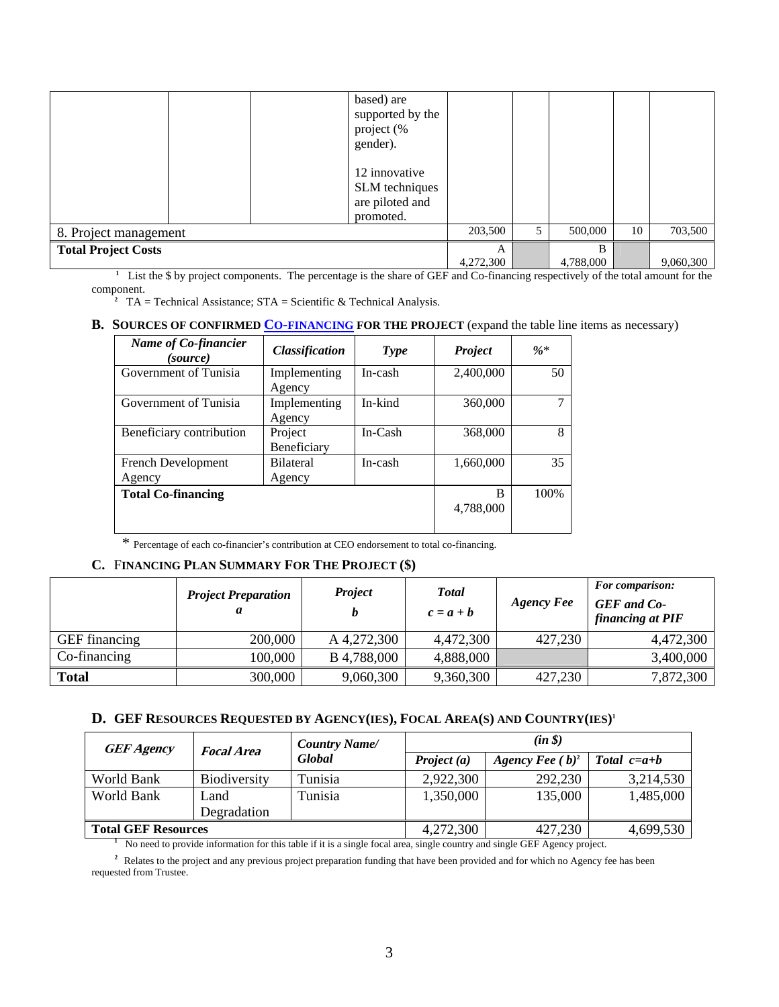|                            | based) are<br>supported by the<br>project (%<br>gender).<br>12 innovative<br>SLM techniques<br>are piloted and<br>promoted. |                |   |                |    |           |
|----------------------------|-----------------------------------------------------------------------------------------------------------------------------|----------------|---|----------------|----|-----------|
| 8. Project management      |                                                                                                                             | 203,500        | 5 | 500,000        | 10 | 703,500   |
| <b>Total Project Costs</b> |                                                                                                                             | A<br>4,272,300 |   | B<br>4,788,000 |    | 9,060,300 |

<sup>1</sup> List the \$ by project components. The percentage is the share of GEF and Co-financing respectively of the total amount for the component.

<sup>2</sup> TA = Technical Assistance;  $STA = Scientific & Technical Analysis$ .

#### **B.** SOURCES OF CONFIRMED **CO-FINANCING** FOR THE PROJECT (expand the table line items as necessary)

| Name of Co-financier<br>(source) | <b>Classification</b> | Type      | <b>Project</b> | $\%*$ |
|----------------------------------|-----------------------|-----------|----------------|-------|
| Government of Tunisia            | Implementing          | In-cash   | 2,400,000      | 50    |
|                                  | Agency                |           |                |       |
| Government of Tunisia            | Implementing          | In-kind   | 360,000        |       |
|                                  | Agency                |           |                |       |
| Beneficiary contribution         | Project               | $In-Cash$ | 368,000        | 8     |
|                                  | Beneficiary           |           |                |       |
| French Development               | <b>Bilateral</b>      | In-cash   | 1,660,000      | 35    |
| Agency                           | Agency                |           |                |       |
| <b>Total Co-financing</b>        |                       |           | R              | 100%  |
|                                  |                       |           | 4,788,000      |       |
|                                  |                       |           |                |       |

\* Percentage of each co-financier's contribution at CEO endorsement to total co-financing.

#### **C.** F**INANCING PLAN SUMMARY FOR THE PROJECT (\$)**

|                      | <b>Project Preparation</b><br>а | <b>Project</b> | <b>T</b> otal<br>$c = a + b$ | <b>Agency Fee</b> | <b>For comparison:</b><br><b>GEF</b> and Co-<br>financing at PIF |
|----------------------|---------------------------------|----------------|------------------------------|-------------------|------------------------------------------------------------------|
| <b>GEF</b> financing | 200,000                         | A 4,272,300    | 4,472,300                    | 427,230           | 4,472,300                                                        |
| Co-financing         | 100,000                         | B 4,788,000    | 4,888,000                    |                   | 3,400,000                                                        |
| <b>Total</b>         | 300,000                         | 9,060,300      | 9,360,300                    | 427,230           | 7,872,300                                                        |

#### **D. GEF RESOURCES REQUESTED BY AGENCY(IES), FOCAL AREA(S) AND COUNTRY(IES)1**

| <b>GEF Agency</b>                                                                                                         | <b>Focal Area</b>   | <b>Country Name/</b> |               | $(in \$            |               |
|---------------------------------------------------------------------------------------------------------------------------|---------------------|----------------------|---------------|--------------------|---------------|
|                                                                                                                           |                     | <b>Global</b>        | Project $(a)$ | Agency Fee $(b)^2$ | Total $c=a+b$ |
| World Bank                                                                                                                | <b>Biodiversity</b> | Tunisia              | 2,922,300     | 292,230            | 3,214,530     |
| World Bank                                                                                                                | Land                | Tunisia              | 1,350,000     | 135,000            | 1,485,000     |
|                                                                                                                           | Degradation         |                      |               |                    |               |
| <b>Total GEF Resources</b>                                                                                                |                     |                      | 4,272,300     | 427,230            | 4,699,530     |
| No need to provide information for this table if it is a single focal area, single country and single GEF Agency project. |                     |                      |               |                    |               |

<sup>2</sup> Relates to the project and any previous project preparation funding that have been provided and for which no Agency fee has been requested from Trustee.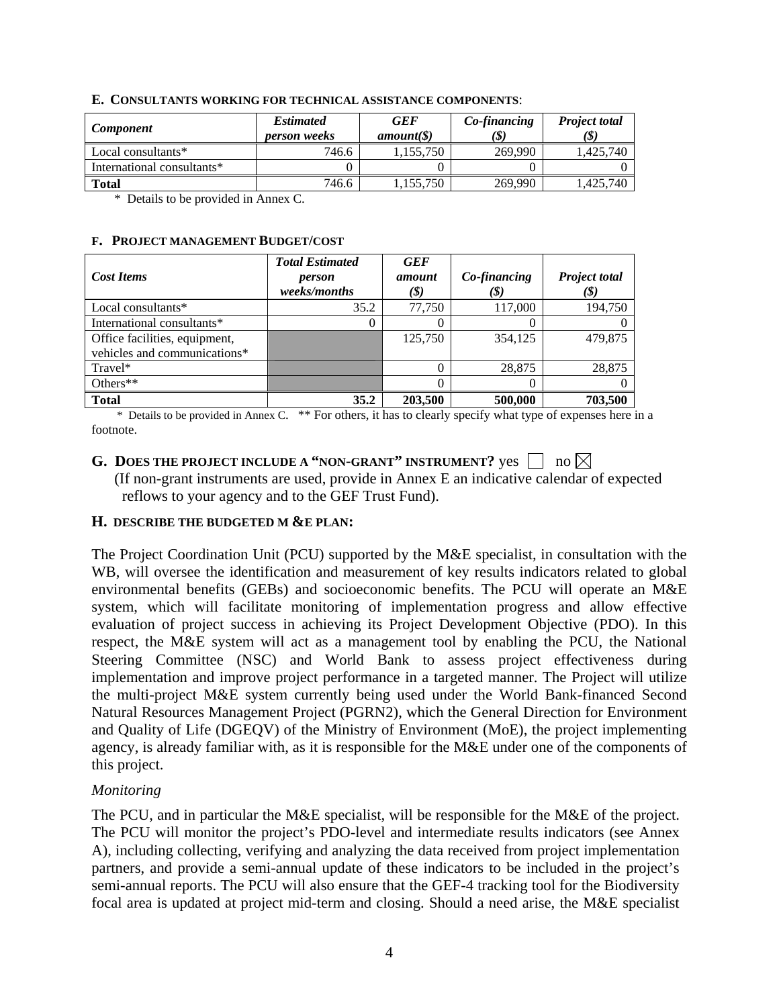| <b>Component</b>           | <b>Estimated</b><br><i>person weeks</i> | <b>GEF</b><br>$amount(\S)$ | Co-financing<br>(\$ | <b>Project total</b><br>(\$) |
|----------------------------|-----------------------------------------|----------------------------|---------------------|------------------------------|
| Local consultants*         | 746.6                                   | .155.750                   | 269,990             | 1.425.740                    |
| International consultants* |                                         |                            |                     |                              |
| <b>Total</b>               | 746.6                                   | ,155,750                   | 269,990             | 1.425.740                    |

#### **E. CONSULTANTS WORKING FOR TECHNICAL ASSISTANCE COMPONENTS**:

\* Details to be provided in Annex C.

#### **F. PROJECT MANAGEMENT BUDGET/COST**

|                               | <b>Total Estimated</b> | <b>GEF</b> |              |                      |
|-------------------------------|------------------------|------------|--------------|----------------------|
| <b>Cost Items</b>             | person                 | amount     | Co-financing | <b>Project total</b> |
|                               | weeks/months           | (\$)       | (\$)         | (\$)                 |
| Local consultants*            | 35.2                   | 77.750     | 117,000      | 194,750              |
| International consultants*    |                        |            |              |                      |
| Office facilities, equipment, |                        | 125,750    | 354,125      | 479,875              |
| vehicles and communications*  |                        |            |              |                      |
| Travel*                       |                        |            | 28,875       | 28,875               |
| Others**                      |                        |            |              |                      |
| <b>Total</b>                  | 35.2                   | 203,500    | 500,000      | 703,500              |

 \* Details to be provided in Annex C. \*\* For others, it has to clearly specify what type of expenses here in a footnote.

# **G.** DOES THE PROJECT INCLUDE A "NON-GRANT" INSTRUMENT? yes  $\Box$  no  $\boxtimes$

 (If non-grant instruments are used, provide in Annex E an indicative calendar of expected reflows to your agency and to the GEF Trust Fund).

### **H. DESCRIBE THE BUDGETED M &E PLAN:**

The Project Coordination Unit (PCU) supported by the M&E specialist, in consultation with the WB, will oversee the identification and measurement of key results indicators related to global environmental benefits (GEBs) and socioeconomic benefits. The PCU will operate an M&E system, which will facilitate monitoring of implementation progress and allow effective evaluation of project success in achieving its Project Development Objective (PDO). In this respect, the M&E system will act as a management tool by enabling the PCU, the National Steering Committee (NSC) and World Bank to assess project effectiveness during implementation and improve project performance in a targeted manner. The Project will utilize the multi-project M&E system currently being used under the World Bank-financed Second Natural Resources Management Project (PGRN2), which the General Direction for Environment and Quality of Life (DGEQV) of the Ministry of Environment (MoE), the project implementing agency, is already familiar with, as it is responsible for the M&E under one of the components of this project.

### *Monitoring*

The PCU, and in particular the M&E specialist, will be responsible for the M&E of the project. The PCU will monitor the project's PDO-level and intermediate results indicators (see Annex A), including collecting, verifying and analyzing the data received from project implementation partners, and provide a semi-annual update of these indicators to be included in the project's semi-annual reports. The PCU will also ensure that the GEF-4 tracking tool for the Biodiversity focal area is updated at project mid-term and closing. Should a need arise, the M&E specialist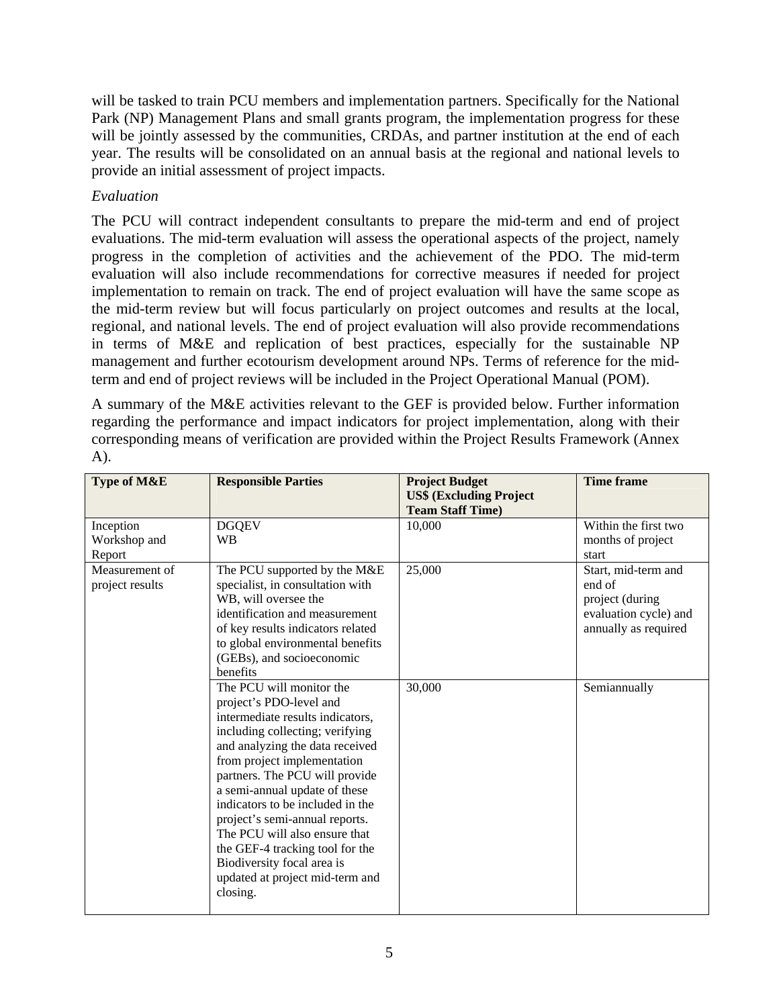will be tasked to train PCU members and implementation partners. Specifically for the National Park (NP) Management Plans and small grants program, the implementation progress for these will be jointly assessed by the communities, CRDAs, and partner institution at the end of each year. The results will be consolidated on an annual basis at the regional and national levels to provide an initial assessment of project impacts.

## *Evaluation*

The PCU will contract independent consultants to prepare the mid-term and end of project evaluations. The mid-term evaluation will assess the operational aspects of the project, namely progress in the completion of activities and the achievement of the PDO. The mid-term evaluation will also include recommendations for corrective measures if needed for project implementation to remain on track. The end of project evaluation will have the same scope as the mid-term review but will focus particularly on project outcomes and results at the local, regional, and national levels. The end of project evaluation will also provide recommendations in terms of M&E and replication of best practices, especially for the sustainable NP management and further ecotourism development around NPs. Terms of reference for the midterm and end of project reviews will be included in the Project Operational Manual (POM).

A summary of the M&E activities relevant to the GEF is provided below. Further information regarding the performance and impact indicators for project implementation, along with their corresponding means of verification are provided within the Project Results Framework (Annex  $(A)$ .

| Type of M&E                         | <b>Responsible Parties</b>                                                                                                                                                                                                                                                                                                                                                                                                                                                             | <b>Project Budget</b><br><b>US\$ (Excluding Project</b><br><b>Team Staff Time)</b> | <b>Time frame</b>                                                                                 |
|-------------------------------------|----------------------------------------------------------------------------------------------------------------------------------------------------------------------------------------------------------------------------------------------------------------------------------------------------------------------------------------------------------------------------------------------------------------------------------------------------------------------------------------|------------------------------------------------------------------------------------|---------------------------------------------------------------------------------------------------|
| Inception<br>Workshop and<br>Report | <b>DGQEV</b><br><b>WB</b>                                                                                                                                                                                                                                                                                                                                                                                                                                                              | 10,000                                                                             | Within the first two<br>months of project<br>start                                                |
| Measurement of<br>project results   | The PCU supported by the M&E<br>specialist, in consultation with<br>WB, will oversee the<br>identification and measurement<br>of key results indicators related<br>to global environmental benefits<br>(GEBs), and socioeconomic<br>benefits                                                                                                                                                                                                                                           | 25,000                                                                             | Start, mid-term and<br>end of<br>project (during<br>evaluation cycle) and<br>annually as required |
|                                     | The PCU will monitor the<br>project's PDO-level and<br>intermediate results indicators,<br>including collecting; verifying<br>and analyzing the data received<br>from project implementation<br>partners. The PCU will provide<br>a semi-annual update of these<br>indicators to be included in the<br>project's semi-annual reports.<br>The PCU will also ensure that<br>the GEF-4 tracking tool for the<br>Biodiversity focal area is<br>updated at project mid-term and<br>closing. | 30,000                                                                             | Semiannually                                                                                      |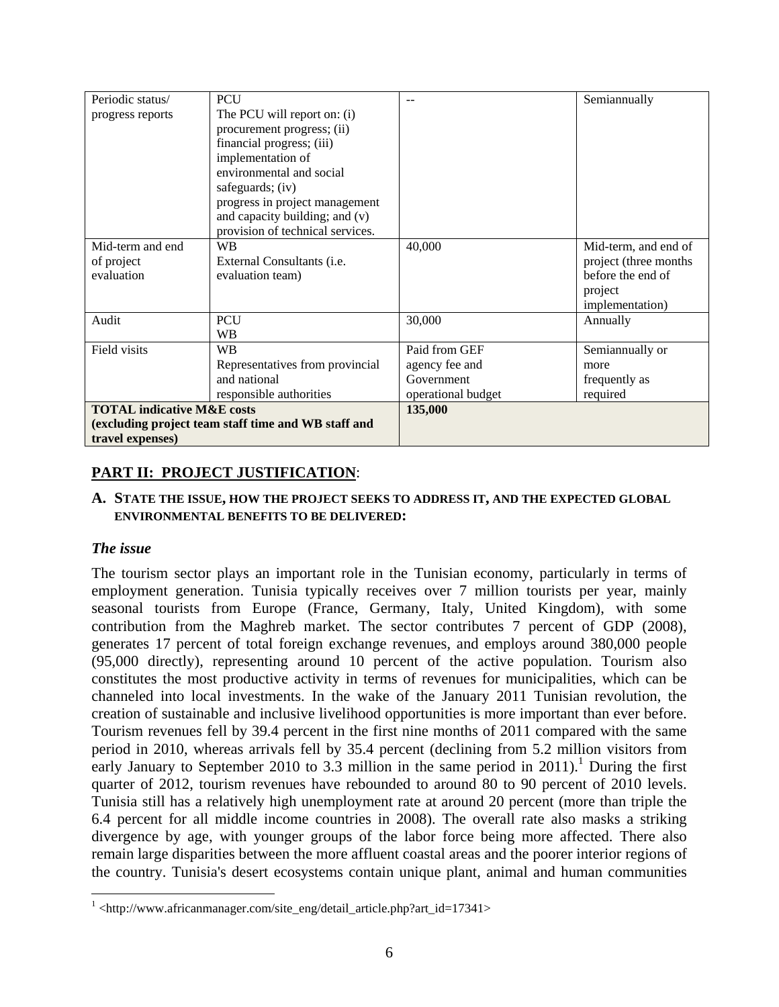| Periodic status/                      | <b>PCU</b>                                          | --                 | Semiannually          |
|---------------------------------------|-----------------------------------------------------|--------------------|-----------------------|
| progress reports                      | The PCU will report on: (i)                         |                    |                       |
|                                       | procurement progress; (ii)                          |                    |                       |
|                                       | financial progress; (iii)                           |                    |                       |
|                                       | implementation of                                   |                    |                       |
|                                       | environmental and social                            |                    |                       |
|                                       | safeguards; (iv)                                    |                    |                       |
|                                       | progress in project management                      |                    |                       |
|                                       | and capacity building; and (v)                      |                    |                       |
|                                       | provision of technical services.                    |                    |                       |
| Mid-term and end                      | <b>WB</b>                                           | 40,000             | Mid-term, and end of  |
| of project                            | External Consultants ( <i>i.e.</i>                  |                    | project (three months |
| evaluation                            | evaluation team)                                    |                    | before the end of     |
|                                       |                                                     |                    | project               |
|                                       |                                                     |                    | implementation)       |
| Audit                                 | PCU                                                 | 30,000             | Annually              |
|                                       | <b>WB</b>                                           |                    |                       |
| Field visits                          | <b>WB</b>                                           | Paid from GEF      | Semiannually or       |
|                                       | Representatives from provincial                     | agency fee and     | more                  |
|                                       | and national                                        | Government         | frequently as         |
|                                       | responsible authorities                             | operational budget | required              |
| <b>TOTAL indicative M&amp;E costs</b> |                                                     | 135,000            |                       |
|                                       | (excluding project team staff time and WB staff and |                    |                       |
| travel expenses)                      |                                                     |                    |                       |

# **PART II: PROJECT JUSTIFICATION**:

#### **A. STATE THE ISSUE, HOW THE PROJECT SEEKS TO ADDRESS IT, AND THE EXPECTED GLOBAL ENVIRONMENTAL BENEFITS TO BE DELIVERED:**

### *The issue*

 $\overline{a}$ 

The tourism sector plays an important role in the Tunisian economy, particularly in terms of employment generation. Tunisia typically receives over 7 million tourists per year, mainly seasonal tourists from Europe (France, Germany, Italy, United Kingdom), with some contribution from the Maghreb market. The sector contributes 7 percent of GDP (2008), generates 17 percent of total foreign exchange revenues, and employs around 380,000 people (95,000 directly), representing around 10 percent of the active population. Tourism also constitutes the most productive activity in terms of revenues for municipalities, which can be channeled into local investments. In the wake of the January 2011 Tunisian revolution, the creation of sustainable and inclusive livelihood opportunities is more important than ever before. Tourism revenues fell by 39.4 percent in the first nine months of 2011 compared with the same period in 2010, whereas arrivals fell by 35.4 percent (declining from 5.2 million visitors from early January to September 2010 to 3.3 million in the same period in  $2011$ ).<sup>1</sup> During the first quarter of 2012, tourism revenues have rebounded to around 80 to 90 percent of 2010 levels. Tunisia still has a relatively high unemployment rate at around 20 percent (more than triple the 6.4 percent for all middle income countries in 2008). The overall rate also masks a striking divergence by age, with younger groups of the labor force being more affected. There also remain large disparities between the more affluent coastal areas and the poorer interior regions of the country. Tunisia's desert ecosystems contain unique plant, animal and human communities

<sup>&</sup>lt;sup>1</sup> <http://www.africanmanager.com/site\_eng/detail\_article.php?art\_id=17341>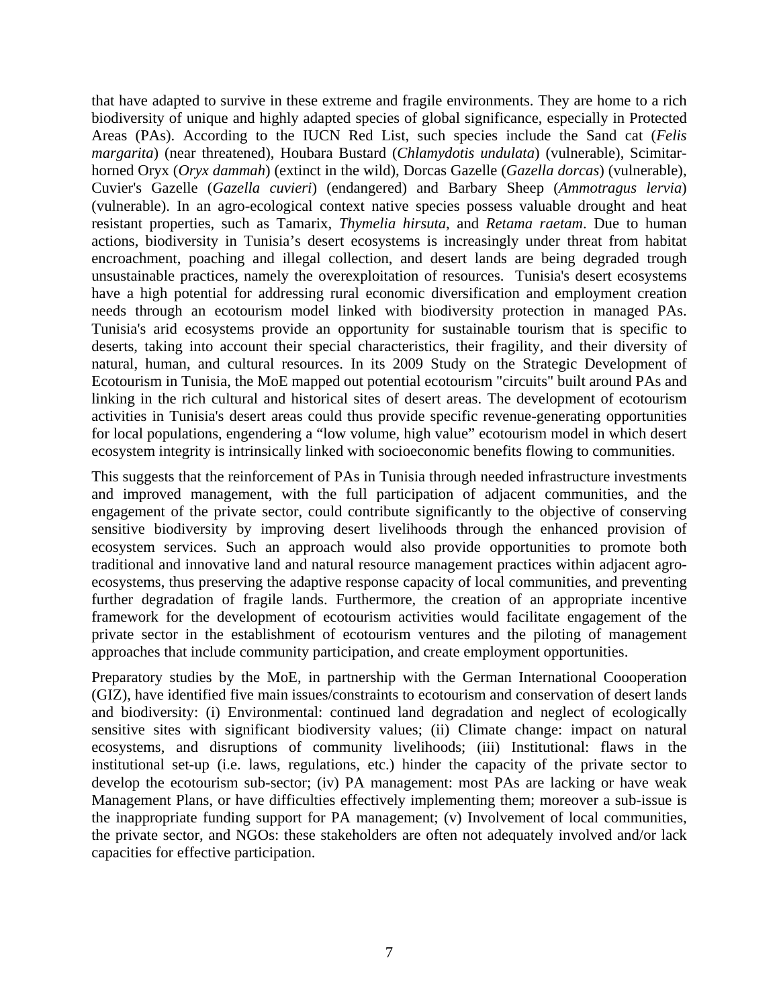that have adapted to survive in these extreme and fragile environments. They are home to a rich biodiversity of unique and highly adapted species of global significance, especially in Protected Areas (PAs). According to the IUCN Red List, such species include the Sand cat (*Felis margarita*) (near threatened), Houbara Bustard (*Chlamydotis undulata*) (vulnerable), Scimitarhorned Oryx (*Oryx dammah*) (extinct in the wild), Dorcas Gazelle (*Gazella dorcas*) (vulnerable), Cuvier's Gazelle (*Gazella cuvieri*) (endangered) and Barbary Sheep (*Ammotragus lervia*) (vulnerable). In an agro-ecological context native species possess valuable drought and heat resistant properties, such as Tamarix, *Thymelia hirsuta*, and *Retama raetam*. Due to human actions, biodiversity in Tunisia's desert ecosystems is increasingly under threat from habitat encroachment, poaching and illegal collection, and desert lands are being degraded trough unsustainable practices, namely the overexploitation of resources. Tunisia's desert ecosystems have a high potential for addressing rural economic diversification and employment creation needs through an ecotourism model linked with biodiversity protection in managed PAs. Tunisia's arid ecosystems provide an opportunity for sustainable tourism that is specific to deserts, taking into account their special characteristics, their fragility, and their diversity of natural, human, and cultural resources. In its 2009 Study on the Strategic Development of Ecotourism in Tunisia, the MoE mapped out potential ecotourism "circuits" built around PAs and linking in the rich cultural and historical sites of desert areas. The development of ecotourism activities in Tunisia's desert areas could thus provide specific revenue-generating opportunities for local populations, engendering a "low volume, high value" ecotourism model in which desert ecosystem integrity is intrinsically linked with socioeconomic benefits flowing to communities.

This suggests that the reinforcement of PAs in Tunisia through needed infrastructure investments and improved management, with the full participation of adjacent communities, and the engagement of the private sector, could contribute significantly to the objective of conserving sensitive biodiversity by improving desert livelihoods through the enhanced provision of ecosystem services. Such an approach would also provide opportunities to promote both traditional and innovative land and natural resource management practices within adjacent agroecosystems, thus preserving the adaptive response capacity of local communities, and preventing further degradation of fragile lands. Furthermore, the creation of an appropriate incentive framework for the development of ecotourism activities would facilitate engagement of the private sector in the establishment of ecotourism ventures and the piloting of management approaches that include community participation, and create employment opportunities.

Preparatory studies by the MoE, in partnership with the German International Coooperation (GIZ), have identified five main issues/constraints to ecotourism and conservation of desert lands and biodiversity: (i) Environmental: continued land degradation and neglect of ecologically sensitive sites with significant biodiversity values; (ii) Climate change: impact on natural ecosystems, and disruptions of community livelihoods; (iii) Institutional: flaws in the institutional set-up (i.e. laws, regulations, etc.) hinder the capacity of the private sector to develop the ecotourism sub-sector; (iv) PA management: most PAs are lacking or have weak Management Plans, or have difficulties effectively implementing them; moreover a sub-issue is the inappropriate funding support for PA management; (v) Involvement of local communities, the private sector, and NGOs: these stakeholders are often not adequately involved and/or lack capacities for effective participation.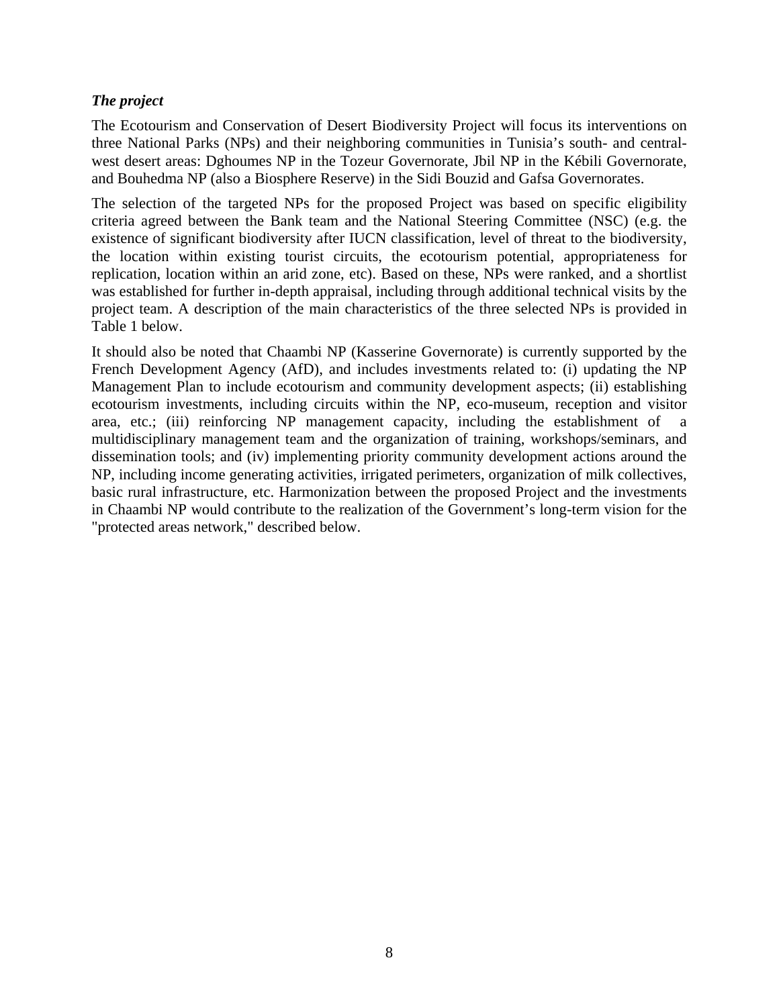## *The project*

The Ecotourism and Conservation of Desert Biodiversity Project will focus its interventions on three National Parks (NPs) and their neighboring communities in Tunisia's south- and centralwest desert areas: Dghoumes NP in the Tozeur Governorate, Jbil NP in the Kébili Governorate, and Bouhedma NP (also a Biosphere Reserve) in the Sidi Bouzid and Gafsa Governorates.

The selection of the targeted NPs for the proposed Project was based on specific eligibility criteria agreed between the Bank team and the National Steering Committee (NSC) (e.g. the existence of significant biodiversity after IUCN classification, level of threat to the biodiversity, the location within existing tourist circuits, the ecotourism potential, appropriateness for replication, location within an arid zone, etc). Based on these, NPs were ranked, and a shortlist was established for further in-depth appraisal, including through additional technical visits by the project team. A description of the main characteristics of the three selected NPs is provided in Table 1 below.

It should also be noted that Chaambi NP (Kasserine Governorate) is currently supported by the French Development Agency (AfD), and includes investments related to: (i) updating the NP Management Plan to include ecotourism and community development aspects; (ii) establishing ecotourism investments, including circuits within the NP, eco-museum, reception and visitor area, etc.; (iii) reinforcing NP management capacity, including the establishment of a multidisciplinary management team and the organization of training, workshops/seminars, and dissemination tools; and (iv) implementing priority community development actions around the NP, including income generating activities, irrigated perimeters, organization of milk collectives, basic rural infrastructure, etc. Harmonization between the proposed Project and the investments in Chaambi NP would contribute to the realization of the Government's long-term vision for the "protected areas network," described below.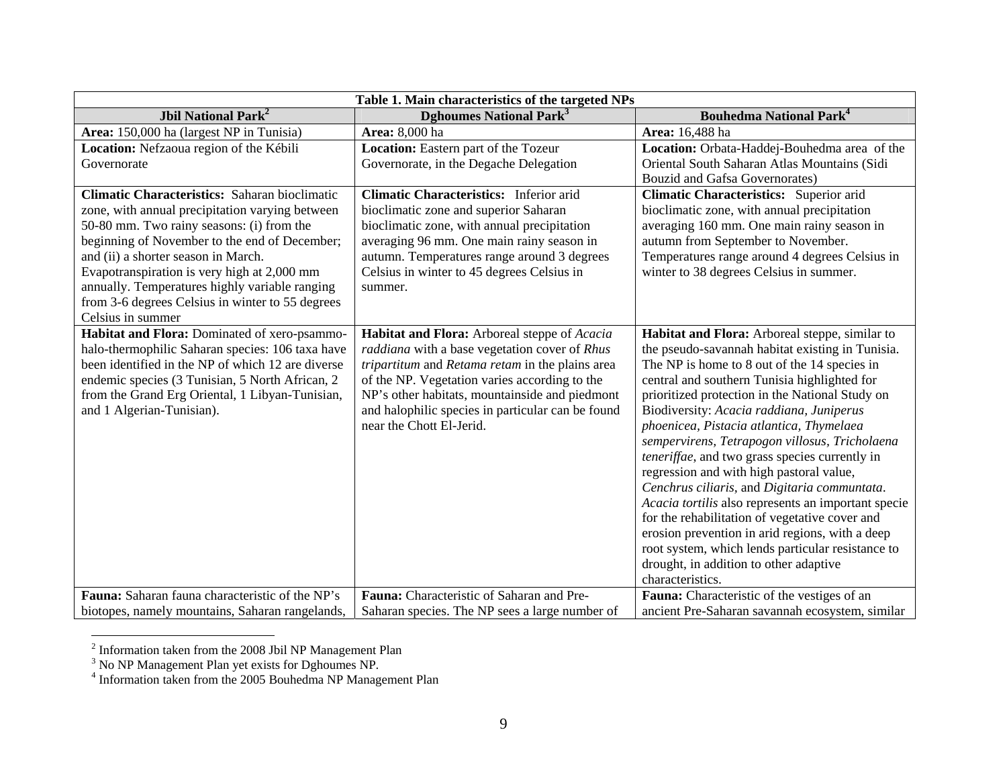| Table 1. Main characteristics of the targeted NPs                                                                                                                                                                                        |                                                                                                                                                                                                                                                                                                                                      |                                                                                                                                                                                                                                                                                                                                                                                                                                                                                                                                                                                                                                                                                                           |  |  |  |
|------------------------------------------------------------------------------------------------------------------------------------------------------------------------------------------------------------------------------------------|--------------------------------------------------------------------------------------------------------------------------------------------------------------------------------------------------------------------------------------------------------------------------------------------------------------------------------------|-----------------------------------------------------------------------------------------------------------------------------------------------------------------------------------------------------------------------------------------------------------------------------------------------------------------------------------------------------------------------------------------------------------------------------------------------------------------------------------------------------------------------------------------------------------------------------------------------------------------------------------------------------------------------------------------------------------|--|--|--|
| <b>Jbil National Park<sup>2</sup></b>                                                                                                                                                                                                    | <b>Dghoumes National Park<sup>3</sup></b>                                                                                                                                                                                                                                                                                            | <b>Bouhedma National Park<sup>4</sup></b>                                                                                                                                                                                                                                                                                                                                                                                                                                                                                                                                                                                                                                                                 |  |  |  |
| Area: 150,000 ha (largest NP in Tunisia)                                                                                                                                                                                                 | Area: 8,000 ha                                                                                                                                                                                                                                                                                                                       | Area: 16,488 ha                                                                                                                                                                                                                                                                                                                                                                                                                                                                                                                                                                                                                                                                                           |  |  |  |
| Location: Nefzaoua region of the Kébili                                                                                                                                                                                                  | Location: Eastern part of the Tozeur                                                                                                                                                                                                                                                                                                 | Location: Orbata-Haddej-Bouhedma area of the                                                                                                                                                                                                                                                                                                                                                                                                                                                                                                                                                                                                                                                              |  |  |  |
| Governorate                                                                                                                                                                                                                              | Governorate, in the Degache Delegation                                                                                                                                                                                                                                                                                               | Oriental South Saharan Atlas Mountains (Sidi                                                                                                                                                                                                                                                                                                                                                                                                                                                                                                                                                                                                                                                              |  |  |  |
|                                                                                                                                                                                                                                          |                                                                                                                                                                                                                                                                                                                                      | <b>Bouzid and Gafsa Governorates)</b>                                                                                                                                                                                                                                                                                                                                                                                                                                                                                                                                                                                                                                                                     |  |  |  |
| <b>Climatic Characteristics:</b> Saharan bioclimatic                                                                                                                                                                                     | <b>Climatic Characteristics:</b> Inferior arid                                                                                                                                                                                                                                                                                       | Climatic Characteristics: Superior arid                                                                                                                                                                                                                                                                                                                                                                                                                                                                                                                                                                                                                                                                   |  |  |  |
| zone, with annual precipitation varying between                                                                                                                                                                                          | bioclimatic zone and superior Saharan                                                                                                                                                                                                                                                                                                | bioclimatic zone, with annual precipitation                                                                                                                                                                                                                                                                                                                                                                                                                                                                                                                                                                                                                                                               |  |  |  |
| 50-80 mm. Two rainy seasons: (i) from the                                                                                                                                                                                                | bioclimatic zone, with annual precipitation                                                                                                                                                                                                                                                                                          | averaging 160 mm. One main rainy season in                                                                                                                                                                                                                                                                                                                                                                                                                                                                                                                                                                                                                                                                |  |  |  |
| beginning of November to the end of December;                                                                                                                                                                                            | averaging 96 mm. One main rainy season in                                                                                                                                                                                                                                                                                            | autumn from September to November.                                                                                                                                                                                                                                                                                                                                                                                                                                                                                                                                                                                                                                                                        |  |  |  |
| and (ii) a shorter season in March.                                                                                                                                                                                                      | autumn. Temperatures range around 3 degrees                                                                                                                                                                                                                                                                                          | Temperatures range around 4 degrees Celsius in                                                                                                                                                                                                                                                                                                                                                                                                                                                                                                                                                                                                                                                            |  |  |  |
| Evapotranspiration is very high at 2,000 mm                                                                                                                                                                                              | Celsius in winter to 45 degrees Celsius in                                                                                                                                                                                                                                                                                           | winter to 38 degrees Celsius in summer.                                                                                                                                                                                                                                                                                                                                                                                                                                                                                                                                                                                                                                                                   |  |  |  |
| annually. Temperatures highly variable ranging                                                                                                                                                                                           | summer.                                                                                                                                                                                                                                                                                                                              |                                                                                                                                                                                                                                                                                                                                                                                                                                                                                                                                                                                                                                                                                                           |  |  |  |
| from 3-6 degrees Celsius in winter to 55 degrees                                                                                                                                                                                         |                                                                                                                                                                                                                                                                                                                                      |                                                                                                                                                                                                                                                                                                                                                                                                                                                                                                                                                                                                                                                                                                           |  |  |  |
| Celsius in summer<br>Habitat and Flora: Dominated of xero-psammo-                                                                                                                                                                        |                                                                                                                                                                                                                                                                                                                                      |                                                                                                                                                                                                                                                                                                                                                                                                                                                                                                                                                                                                                                                                                                           |  |  |  |
| halo-thermophilic Saharan species: 106 taxa have<br>been identified in the NP of which 12 are diverse<br>endemic species (3 Tunisian, 5 North African, 2<br>from the Grand Erg Oriental, 1 Libyan-Tunisian,<br>and 1 Algerian-Tunisian). | Habitat and Flora: Arboreal steppe of Acacia<br>raddiana with a base vegetation cover of Rhus<br>tripartitum and Retama retam in the plains area<br>of the NP. Vegetation varies according to the<br>NP's other habitats, mountainside and piedmont<br>and halophilic species in particular can be found<br>near the Chott El-Jerid. | Habitat and Flora: Arboreal steppe, similar to<br>the pseudo-savannah habitat existing in Tunisia.<br>The NP is home to 8 out of the 14 species in<br>central and southern Tunisia highlighted for<br>prioritized protection in the National Study on<br>Biodiversity: Acacia raddiana, Juniperus<br>phoenicea, Pistacia atlantica, Thymelaea<br>sempervirens, Tetrapogon villosus, Tricholaena<br>teneriffae, and two grass species currently in<br>regression and with high pastoral value,<br>Cenchrus ciliaris, and Digitaria communtata.<br>Acacia tortilis also represents an important specie<br>for the rehabilitation of vegetative cover and<br>erosion prevention in arid regions, with a deep |  |  |  |
|                                                                                                                                                                                                                                          |                                                                                                                                                                                                                                                                                                                                      | root system, which lends particular resistance to<br>drought, in addition to other adaptive<br>characteristics.                                                                                                                                                                                                                                                                                                                                                                                                                                                                                                                                                                                           |  |  |  |
| Fauna: Saharan fauna characteristic of the NP's                                                                                                                                                                                          | Fauna: Characteristic of Saharan and Pre-                                                                                                                                                                                                                                                                                            | Fauna: Characteristic of the vestiges of an                                                                                                                                                                                                                                                                                                                                                                                                                                                                                                                                                                                                                                                               |  |  |  |
| biotopes, namely mountains, Saharan rangelands,                                                                                                                                                                                          | Saharan species. The NP sees a large number of                                                                                                                                                                                                                                                                                       | ancient Pre-Saharan savannah ecosystem, similar                                                                                                                                                                                                                                                                                                                                                                                                                                                                                                                                                                                                                                                           |  |  |  |

 $2$  Information taken from the 2008 Jbil NP Management Plan

 $3$  No NP Management Plan yet exists for Dghoumes NP.

<sup>&</sup>lt;sup>4</sup> Information taken from the 2005 Bouhedma NP Management Plan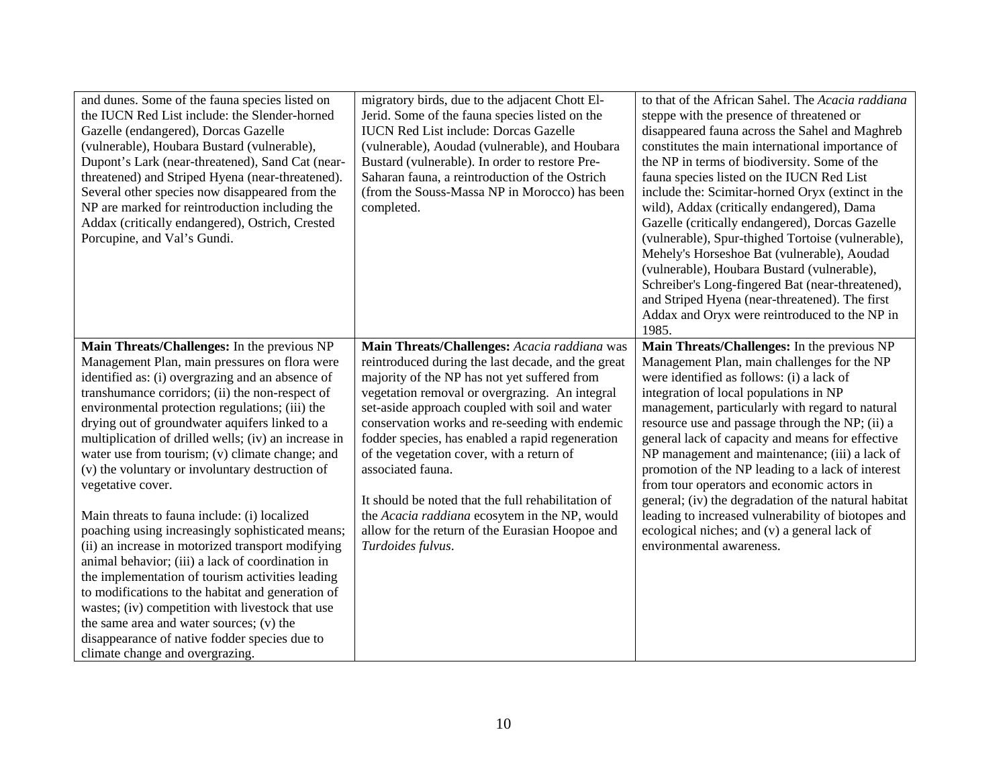| and dunes. Some of the fauna species listed on<br>the IUCN Red List include: the Slender-horned<br>Gazelle (endangered), Dorcas Gazelle<br>(vulnerable), Houbara Bustard (vulnerable),<br>Dupont's Lark (near-threatened), Sand Cat (near-<br>threatened) and Striped Hyena (near-threatened).<br>Several other species now disappeared from the<br>NP are marked for reintroduction including the<br>Addax (critically endangered), Ostrich, Crested<br>Porcupine, and Val's Gundi.                                                                                                                                                                                                                                                                                                                                                                                                                                                                                                                  | migratory birds, due to the adjacent Chott El-<br>Jerid. Some of the fauna species listed on the<br><b>IUCN Red List include: Dorcas Gazelle</b><br>(vulnerable), Aoudad (vulnerable), and Houbara<br>Bustard (vulnerable). In order to restore Pre-<br>Saharan fauna, a reintroduction of the Ostrich<br>(from the Souss-Massa NP in Morocco) has been<br>completed.                                                                                                                                                                                                                                         | to that of the African Sahel. The Acacia raddiana<br>steppe with the presence of threatened or<br>disappeared fauna across the Sahel and Maghreb<br>constitutes the main international importance of<br>the NP in terms of biodiversity. Some of the<br>fauna species listed on the IUCN Red List<br>include the: Scimitar-horned Oryx (extinct in the<br>wild), Addax (critically endangered), Dama<br>Gazelle (critically endangered), Dorcas Gazelle<br>(vulnerable), Spur-thighed Tortoise (vulnerable),<br>Mehely's Horseshoe Bat (vulnerable), Aoudad<br>(vulnerable), Houbara Bustard (vulnerable),<br>Schreiber's Long-fingered Bat (near-threatened),<br>and Striped Hyena (near-threatened). The first<br>Addax and Oryx were reintroduced to the NP in<br>1985. |
|-------------------------------------------------------------------------------------------------------------------------------------------------------------------------------------------------------------------------------------------------------------------------------------------------------------------------------------------------------------------------------------------------------------------------------------------------------------------------------------------------------------------------------------------------------------------------------------------------------------------------------------------------------------------------------------------------------------------------------------------------------------------------------------------------------------------------------------------------------------------------------------------------------------------------------------------------------------------------------------------------------|---------------------------------------------------------------------------------------------------------------------------------------------------------------------------------------------------------------------------------------------------------------------------------------------------------------------------------------------------------------------------------------------------------------------------------------------------------------------------------------------------------------------------------------------------------------------------------------------------------------|----------------------------------------------------------------------------------------------------------------------------------------------------------------------------------------------------------------------------------------------------------------------------------------------------------------------------------------------------------------------------------------------------------------------------------------------------------------------------------------------------------------------------------------------------------------------------------------------------------------------------------------------------------------------------------------------------------------------------------------------------------------------------|
| Main Threats/Challenges: In the previous NP<br>Management Plan, main pressures on flora were<br>identified as: (i) overgrazing and an absence of<br>transhumance corridors; (ii) the non-respect of<br>environmental protection regulations; (iii) the<br>drying out of groundwater aquifers linked to a<br>multiplication of drilled wells; (iv) an increase in<br>water use from tourism; (v) climate change; and<br>(v) the voluntary or involuntary destruction of<br>vegetative cover.<br>Main threats to fauna include: (i) localized<br>poaching using increasingly sophisticated means;<br>(ii) an increase in motorized transport modifying<br>animal behavior; (iii) a lack of coordination in<br>the implementation of tourism activities leading<br>to modifications to the habitat and generation of<br>wastes; (iv) competition with livestock that use<br>the same area and water sources; (v) the<br>disappearance of native fodder species due to<br>climate change and overgrazing. | Main Threats/Challenges: Acacia raddiana was<br>reintroduced during the last decade, and the great<br>majority of the NP has not yet suffered from<br>vegetation removal or overgrazing. An integral<br>set-aside approach coupled with soil and water<br>conservation works and re-seeding with endemic<br>fodder species, has enabled a rapid regeneration<br>of the vegetation cover, with a return of<br>associated fauna.<br>It should be noted that the full rehabilitation of<br>the Acacia raddiana ecosytem in the NP, would<br>allow for the return of the Eurasian Hoopoe and<br>Turdoides fulvus. | Main Threats/Challenges: In the previous NP<br>Management Plan, main challenges for the NP<br>were identified as follows: (i) a lack of<br>integration of local populations in NP<br>management, particularly with regard to natural<br>resource use and passage through the NP; (ii) a<br>general lack of capacity and means for effective<br>NP management and maintenance; (iii) a lack of<br>promotion of the NP leading to a lack of interest<br>from tour operators and economic actors in<br>general; (iv) the degradation of the natural habitat<br>leading to increased vulnerability of biotopes and<br>ecological niches; and (v) a general lack of<br>environmental awareness.                                                                                 |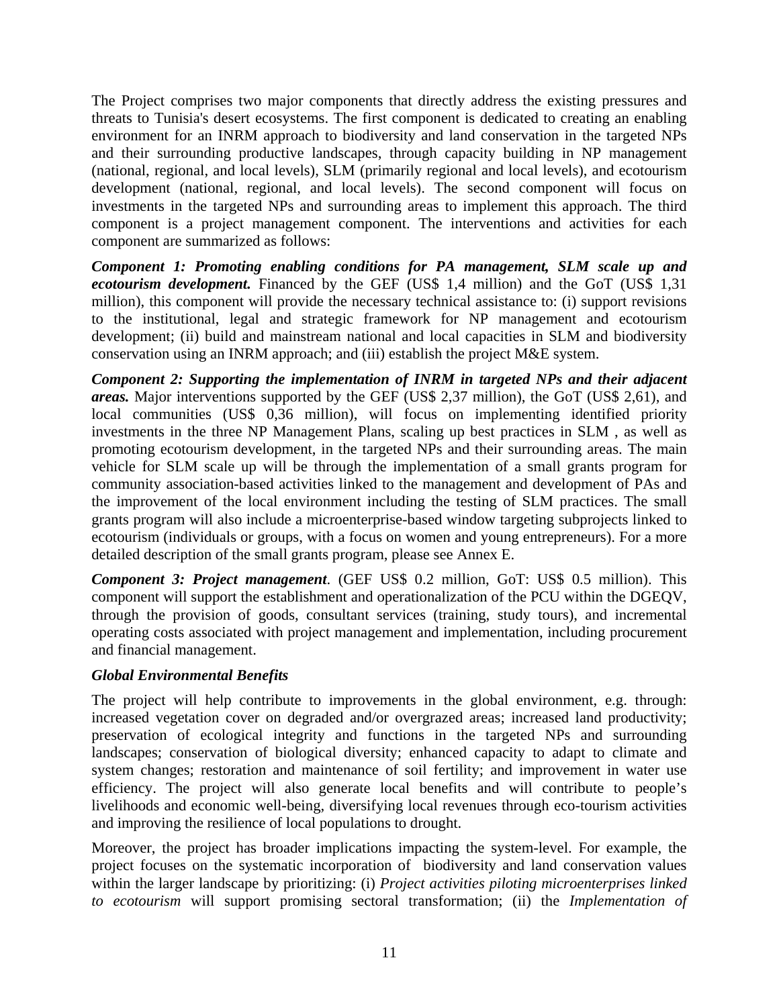The Project comprises two major components that directly address the existing pressures and threats to Tunisia's desert ecosystems. The first component is dedicated to creating an enabling environment for an INRM approach to biodiversity and land conservation in the targeted NPs and their surrounding productive landscapes, through capacity building in NP management (national, regional, and local levels), SLM (primarily regional and local levels), and ecotourism development (national, regional, and local levels). The second component will focus on investments in the targeted NPs and surrounding areas to implement this approach. The third component is a project management component. The interventions and activities for each component are summarized as follows:

*Component 1: Promoting enabling conditions for PA management, SLM scale up and ecotourism development.* Financed by the GEF (US\$ 1,4 million) and the GoT (US\$ 1,31 million), this component will provide the necessary technical assistance to: (i) support revisions to the institutional, legal and strategic framework for NP management and ecotourism development; (ii) build and mainstream national and local capacities in SLM and biodiversity conservation using an INRM approach; and (iii) establish the project M&E system.

*Component 2: Supporting the implementation of INRM in targeted NPs and their adjacent areas.* Major interventions supported by the GEF (US\$ 2,37 million), the GoT (US\$ 2,61), and local communities (US\$ 0,36 million), will focus on implementing identified priority investments in the three NP Management Plans, scaling up best practices in SLM , as well as promoting ecotourism development, in the targeted NPs and their surrounding areas. The main vehicle for SLM scale up will be through the implementation of a small grants program for community association-based activities linked to the management and development of PAs and the improvement of the local environment including the testing of SLM practices. The small grants program will also include a microenterprise-based window targeting subprojects linked to ecotourism (individuals or groups, with a focus on women and young entrepreneurs). For a more detailed description of the small grants program, please see Annex E.

*Component 3: Project management*. (GEF US\$ 0.2 million, GoT: US\$ 0.5 million). This component will support the establishment and operationalization of the PCU within the DGEQV, through the provision of goods, consultant services (training, study tours), and incremental operating costs associated with project management and implementation, including procurement and financial management.

## *Global Environmental Benefits*

The project will help contribute to improvements in the global environment, e.g. through: increased vegetation cover on degraded and/or overgrazed areas; increased land productivity; preservation of ecological integrity and functions in the targeted NPs and surrounding landscapes; conservation of biological diversity; enhanced capacity to adapt to climate and system changes; restoration and maintenance of soil fertility; and improvement in water use efficiency. The project will also generate local benefits and will contribute to people's livelihoods and economic well-being, diversifying local revenues through eco-tourism activities and improving the resilience of local populations to drought.

Moreover, the project has broader implications impacting the system-level. For example, the project focuses on the systematic incorporation of biodiversity and land conservation values within the larger landscape by prioritizing: (i) *Project activities piloting microenterprises linked to ecotourism* will support promising sectoral transformation; (ii) the *Implementation of*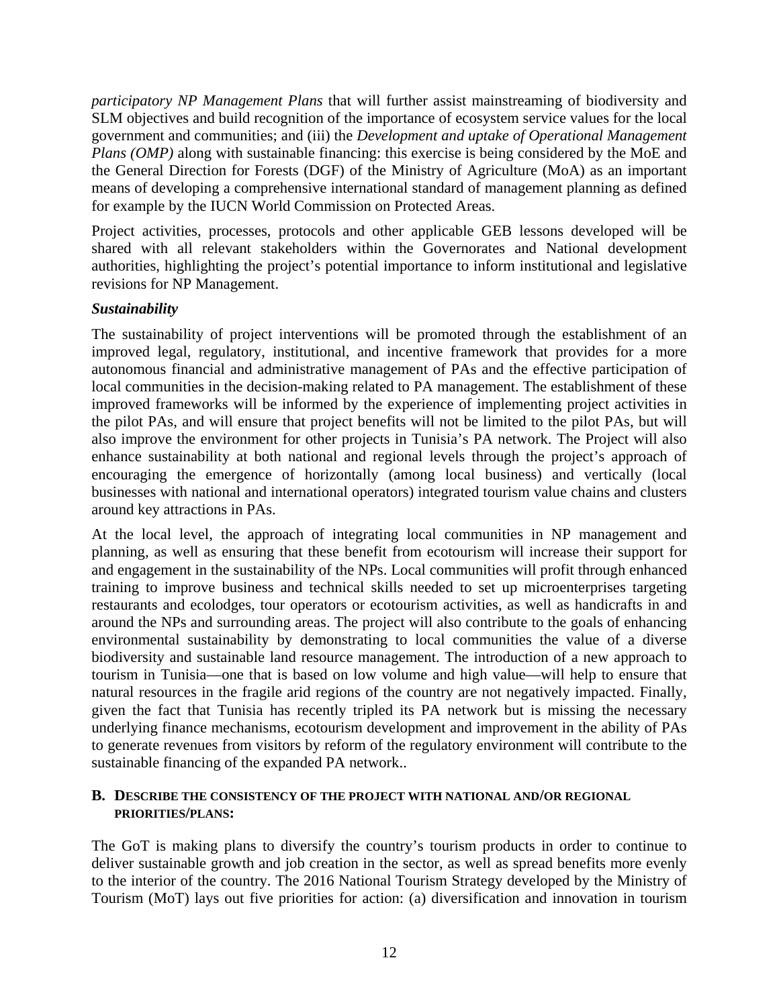*participatory NP Management Plans* that will further assist mainstreaming of biodiversity and SLM objectives and build recognition of the importance of ecosystem service values for the local government and communities; and (iii) the *Development and uptake of Operational Management Plans (OMP)* along with sustainable financing: this exercise is being considered by the MoE and the General Direction for Forests (DGF) of the Ministry of Agriculture (MoA) as an important means of developing a comprehensive international standard of management planning as defined for example by the IUCN World Commission on Protected Areas.

Project activities, processes, protocols and other applicable GEB lessons developed will be shared with all relevant stakeholders within the Governorates and National development authorities, highlighting the project's potential importance to inform institutional and legislative revisions for NP Management.

## *Sustainability*

The sustainability of project interventions will be promoted through the establishment of an improved legal, regulatory, institutional, and incentive framework that provides for a more autonomous financial and administrative management of PAs and the effective participation of local communities in the decision-making related to PA management. The establishment of these improved frameworks will be informed by the experience of implementing project activities in the pilot PAs, and will ensure that project benefits will not be limited to the pilot PAs, but will also improve the environment for other projects in Tunisia's PA network. The Project will also enhance sustainability at both national and regional levels through the project's approach of encouraging the emergence of horizontally (among local business) and vertically (local businesses with national and international operators) integrated tourism value chains and clusters around key attractions in PAs.

At the local level, the approach of integrating local communities in NP management and planning, as well as ensuring that these benefit from ecotourism will increase their support for and engagement in the sustainability of the NPs. Local communities will profit through enhanced training to improve business and technical skills needed to set up microenterprises targeting restaurants and ecolodges, tour operators or ecotourism activities, as well as handicrafts in and around the NPs and surrounding areas. The project will also contribute to the goals of enhancing environmental sustainability by demonstrating to local communities the value of a diverse biodiversity and sustainable land resource management. The introduction of a new approach to tourism in Tunisia—one that is based on low volume and high value—will help to ensure that natural resources in the fragile arid regions of the country are not negatively impacted. Finally, given the fact that Tunisia has recently tripled its PA network but is missing the necessary underlying finance mechanisms, ecotourism development and improvement in the ability of PAs to generate revenues from visitors by reform of the regulatory environment will contribute to the sustainable financing of the expanded PA network..

#### **B. DESCRIBE THE CONSISTENCY OF THE PROJECT WITH NATIONAL AND/OR REGIONAL PRIORITIES/PLANS:**

The GoT is making plans to diversify the country's tourism products in order to continue to deliver sustainable growth and job creation in the sector, as well as spread benefits more evenly to the interior of the country. The 2016 National Tourism Strategy developed by the Ministry of Tourism (MoT) lays out five priorities for action: (a) diversification and innovation in tourism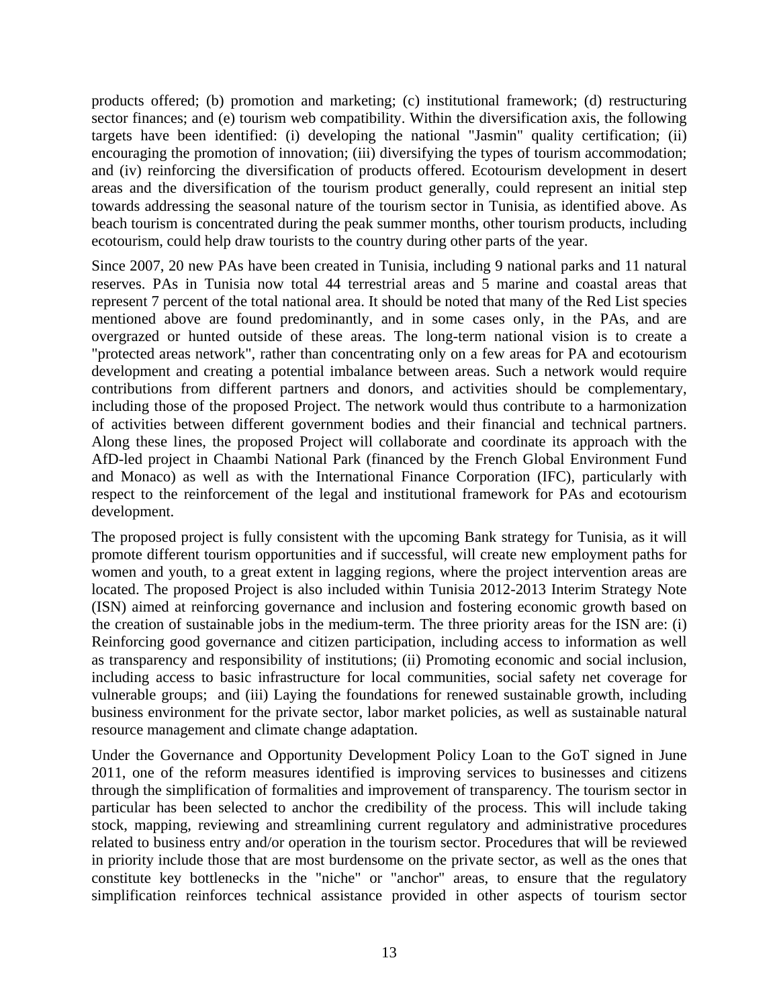products offered; (b) promotion and marketing; (c) institutional framework; (d) restructuring sector finances; and (e) tourism web compatibility. Within the diversification axis, the following targets have been identified: (i) developing the national "Jasmin" quality certification; (ii) encouraging the promotion of innovation; (iii) diversifying the types of tourism accommodation; and (iv) reinforcing the diversification of products offered. Ecotourism development in desert areas and the diversification of the tourism product generally, could represent an initial step towards addressing the seasonal nature of the tourism sector in Tunisia, as identified above. As beach tourism is concentrated during the peak summer months, other tourism products, including ecotourism, could help draw tourists to the country during other parts of the year.

Since 2007, 20 new PAs have been created in Tunisia, including 9 national parks and 11 natural reserves. PAs in Tunisia now total 44 terrestrial areas and 5 marine and coastal areas that represent 7 percent of the total national area. It should be noted that many of the Red List species mentioned above are found predominantly, and in some cases only, in the PAs, and are overgrazed or hunted outside of these areas. The long-term national vision is to create a "protected areas network", rather than concentrating only on a few areas for PA and ecotourism development and creating a potential imbalance between areas. Such a network would require contributions from different partners and donors, and activities should be complementary, including those of the proposed Project. The network would thus contribute to a harmonization of activities between different government bodies and their financial and technical partners. Along these lines, the proposed Project will collaborate and coordinate its approach with the AfD-led project in Chaambi National Park (financed by the French Global Environment Fund and Monaco) as well as with the International Finance Corporation (IFC), particularly with respect to the reinforcement of the legal and institutional framework for PAs and ecotourism development.

The proposed project is fully consistent with the upcoming Bank strategy for Tunisia, as it will promote different tourism opportunities and if successful, will create new employment paths for women and youth, to a great extent in lagging regions, where the project intervention areas are located. The proposed Project is also included within Tunisia 2012-2013 Interim Strategy Note (ISN) aimed at reinforcing governance and inclusion and fostering economic growth based on the creation of sustainable jobs in the medium-term. The three priority areas for the ISN are: (i) Reinforcing good governance and citizen participation, including access to information as well as transparency and responsibility of institutions; (ii) Promoting economic and social inclusion, including access to basic infrastructure for local communities, social safety net coverage for vulnerable groups; and (iii) Laying the foundations for renewed sustainable growth, including business environment for the private sector, labor market policies, as well as sustainable natural resource management and climate change adaptation.

Under the Governance and Opportunity Development Policy Loan to the GoT signed in June 2011, one of the reform measures identified is improving services to businesses and citizens through the simplification of formalities and improvement of transparency. The tourism sector in particular has been selected to anchor the credibility of the process. This will include taking stock, mapping, reviewing and streamlining current regulatory and administrative procedures related to business entry and/or operation in the tourism sector. Procedures that will be reviewed in priority include those that are most burdensome on the private sector, as well as the ones that constitute key bottlenecks in the "niche" or "anchor" areas, to ensure that the regulatory simplification reinforces technical assistance provided in other aspects of tourism sector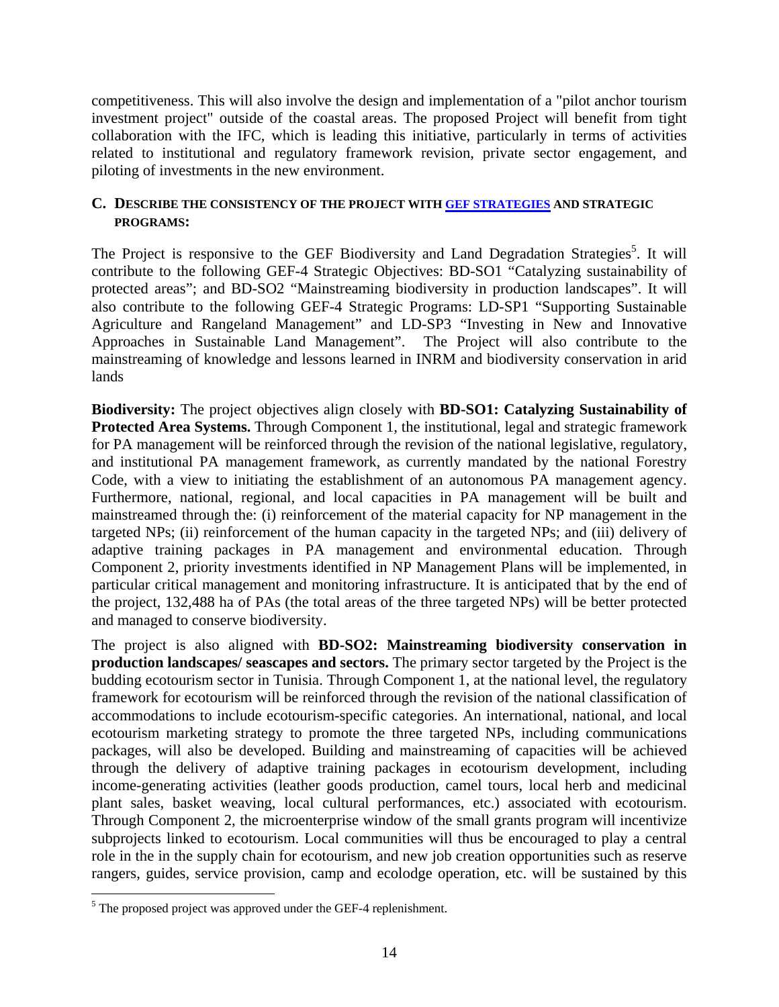competitiveness. This will also involve the design and implementation of a "pilot anchor tourism investment project" outside of the coastal areas. The proposed Project will benefit from tight collaboration with the IFC, which is leading this initiative, particularly in terms of activities related to institutional and regulatory framework revision, private sector engagement, and piloting of investments in the new environment.

### **C. DESCRIBE THE CONSISTENCY OF THE PROJECT WITH GEF STRATEGIES AND STRATEGIC PROGRAMS:**

The Project is responsive to the GEF Biodiversity and Land Degradation Strategies<sup>5</sup>. It will contribute to the following GEF-4 Strategic Objectives: BD-SO1 "Catalyzing sustainability of protected areas"; and BD-SO2 "Mainstreaming biodiversity in production landscapes". It will also contribute to the following GEF-4 Strategic Programs: LD-SP1 "Supporting Sustainable Agriculture and Rangeland Management" and LD-SP3 "Investing in New and Innovative Approaches in Sustainable Land Management". The Project will also contribute to the mainstreaming of knowledge and lessons learned in INRM and biodiversity conservation in arid lands

**Biodiversity:** The project objectives align closely with **BD-SO1: Catalyzing Sustainability of Protected Area Systems.** Through Component 1, the institutional, legal and strategic framework for PA management will be reinforced through the revision of the national legislative, regulatory, and institutional PA management framework, as currently mandated by the national Forestry Code, with a view to initiating the establishment of an autonomous PA management agency. Furthermore, national, regional, and local capacities in PA management will be built and mainstreamed through the: (i) reinforcement of the material capacity for NP management in the targeted NPs; (ii) reinforcement of the human capacity in the targeted NPs; and (iii) delivery of adaptive training packages in PA management and environmental education. Through Component 2, priority investments identified in NP Management Plans will be implemented, in particular critical management and monitoring infrastructure. It is anticipated that by the end of the project, 132,488 ha of PAs (the total areas of the three targeted NPs) will be better protected and managed to conserve biodiversity.

The project is also aligned with **BD-SO2: Mainstreaming biodiversity conservation in production landscapes/ seascapes and sectors.** The primary sector targeted by the Project is the budding ecotourism sector in Tunisia. Through Component 1, at the national level, the regulatory framework for ecotourism will be reinforced through the revision of the national classification of accommodations to include ecotourism-specific categories. An international, national, and local ecotourism marketing strategy to promote the three targeted NPs, including communications packages, will also be developed. Building and mainstreaming of capacities will be achieved through the delivery of adaptive training packages in ecotourism development, including income-generating activities (leather goods production, camel tours, local herb and medicinal plant sales, basket weaving, local cultural performances, etc.) associated with ecotourism. Through Component 2, the microenterprise window of the small grants program will incentivize subprojects linked to ecotourism. Local communities will thus be encouraged to play a central role in the in the supply chain for ecotourism, and new job creation opportunities such as reserve rangers, guides, service provision, camp and ecolodge operation, etc. will be sustained by this

<u>.</u>

 $<sup>5</sup>$  The proposed project was approved under the GEF-4 replenishment.</sup>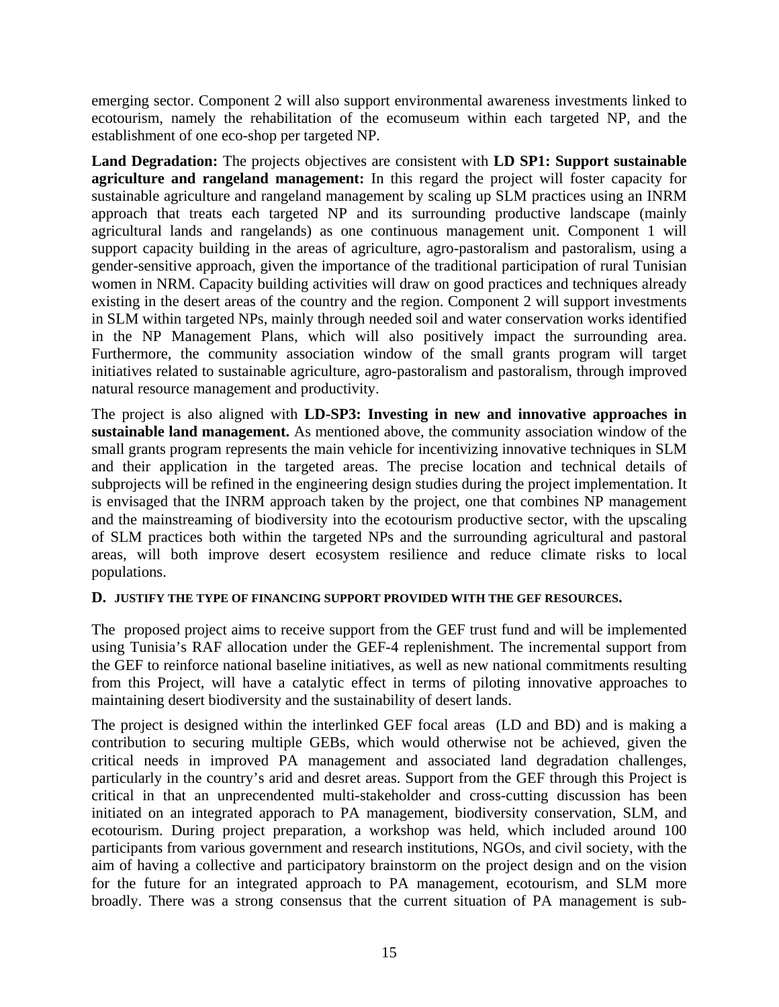emerging sector. Component 2 will also support environmental awareness investments linked to ecotourism, namely the rehabilitation of the ecomuseum within each targeted NP, and the establishment of one eco-shop per targeted NP.

**Land Degradation:** The projects objectives are consistent with **LD SP1: Support sustainable agriculture and rangeland management:** In this regard the project will foster capacity for sustainable agriculture and rangeland management by scaling up SLM practices using an INRM approach that treats each targeted NP and its surrounding productive landscape (mainly agricultural lands and rangelands) as one continuous management unit. Component 1 will support capacity building in the areas of agriculture, agro-pastoralism and pastoralism, using a gender-sensitive approach, given the importance of the traditional participation of rural Tunisian women in NRM. Capacity building activities will draw on good practices and techniques already existing in the desert areas of the country and the region. Component 2 will support investments in SLM within targeted NPs, mainly through needed soil and water conservation works identified in the NP Management Plans, which will also positively impact the surrounding area. Furthermore, the community association window of the small grants program will target initiatives related to sustainable agriculture, agro-pastoralism and pastoralism, through improved natural resource management and productivity.

The project is also aligned with **LD-SP3: Investing in new and innovative approaches in sustainable land management.** As mentioned above, the community association window of the small grants program represents the main vehicle for incentivizing innovative techniques in SLM and their application in the targeted areas. The precise location and technical details of subprojects will be refined in the engineering design studies during the project implementation. It is envisaged that the INRM approach taken by the project, one that combines NP management and the mainstreaming of biodiversity into the ecotourism productive sector, with the upscaling of SLM practices both within the targeted NPs and the surrounding agricultural and pastoral areas, will both improve desert ecosystem resilience and reduce climate risks to local populations.

### **D. JUSTIFY THE TYPE OF FINANCING SUPPORT PROVIDED WITH THE GEF RESOURCES.**

The proposed project aims to receive support from the GEF trust fund and will be implemented using Tunisia's RAF allocation under the GEF-4 replenishment. The incremental support from the GEF to reinforce national baseline initiatives, as well as new national commitments resulting from this Project, will have a catalytic effect in terms of piloting innovative approaches to maintaining desert biodiversity and the sustainability of desert lands.

The project is designed within the interlinked GEF focal areas (LD and BD) and is making a contribution to securing multiple GEBs, which would otherwise not be achieved, given the critical needs in improved PA management and associated land degradation challenges, particularly in the country's arid and desret areas. Support from the GEF through this Project is critical in that an unprecendented multi-stakeholder and cross-cutting discussion has been initiated on an integrated apporach to PA management, biodiversity conservation, SLM, and ecotourism. During project preparation, a workshop was held, which included around 100 participants from various government and research institutions, NGOs, and civil society, with the aim of having a collective and participatory brainstorm on the project design and on the vision for the future for an integrated approach to PA management, ecotourism, and SLM more broadly. There was a strong consensus that the current situation of PA management is sub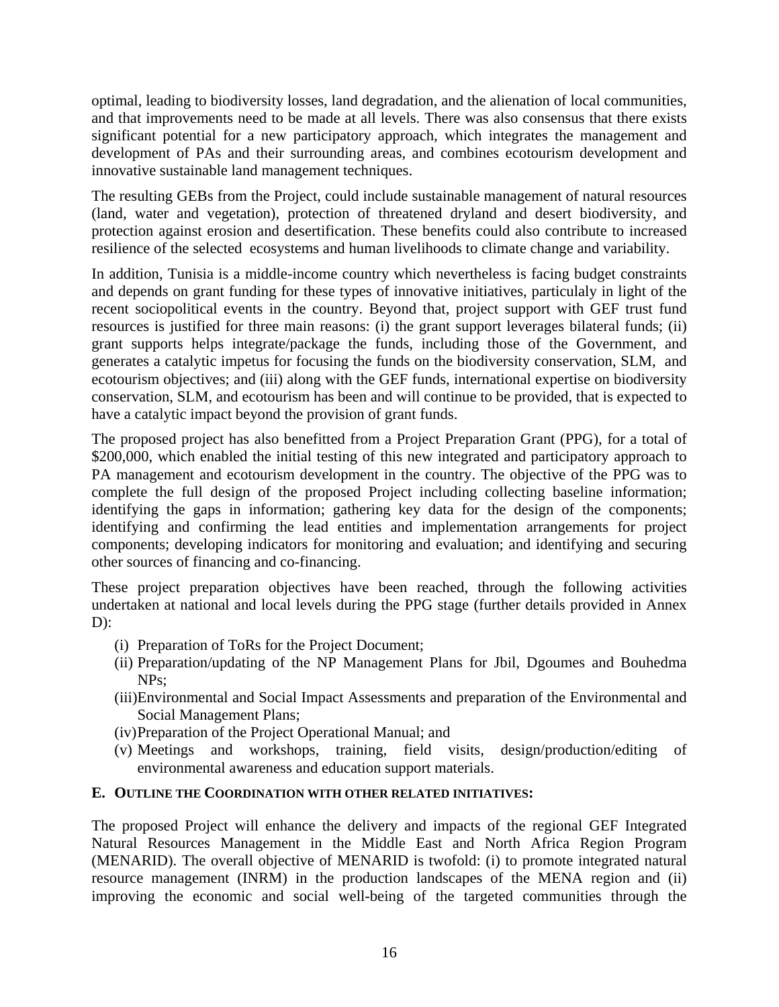optimal, leading to biodiversity losses, land degradation, and the alienation of local communities, and that improvements need to be made at all levels. There was also consensus that there exists significant potential for a new participatory approach, which integrates the management and development of PAs and their surrounding areas, and combines ecotourism development and innovative sustainable land management techniques.

The resulting GEBs from the Project, could include sustainable management of natural resources (land, water and vegetation), protection of threatened dryland and desert biodiversity, and protection against erosion and desertification. These benefits could also contribute to increased resilience of the selected ecosystems and human livelihoods to climate change and variability.

In addition, Tunisia is a middle-income country which nevertheless is facing budget constraints and depends on grant funding for these types of innovative initiatives, particulaly in light of the recent sociopolitical events in the country. Beyond that, project support with GEF trust fund resources is justified for three main reasons: (i) the grant support leverages bilateral funds; (ii) grant supports helps integrate/package the funds, including those of the Government, and generates a catalytic impetus for focusing the funds on the biodiversity conservation, SLM, and ecotourism objectives; and (iii) along with the GEF funds, international expertise on biodiversity conservation, SLM, and ecotourism has been and will continue to be provided, that is expected to have a catalytic impact beyond the provision of grant funds.

The proposed project has also benefitted from a Project Preparation Grant (PPG), for a total of \$200,000, which enabled the initial testing of this new integrated and participatory approach to PA management and ecotourism development in the country. The objective of the PPG was to complete the full design of the proposed Project including collecting baseline information; identifying the gaps in information; gathering key data for the design of the components; identifying and confirming the lead entities and implementation arrangements for project components; developing indicators for monitoring and evaluation; and identifying and securing other sources of financing and co-financing.

These project preparation objectives have been reached, through the following activities undertaken at national and local levels during the PPG stage (further details provided in Annex  $D$ :

- (i) Preparation of ToRs for the Project Document;
- (ii) Preparation/updating of the NP Management Plans for Jbil, Dgoumes and Bouhedma NPs;
- (iii)Environmental and Social Impact Assessments and preparation of the Environmental and Social Management Plans;
- (iv)Preparation of the Project Operational Manual; and
- (v) Meetings and workshops, training, field visits, design/production/editing of environmental awareness and education support materials.

### **E. OUTLINE THE COORDINATION WITH OTHER RELATED INITIATIVES:**

The proposed Project will enhance the delivery and impacts of the regional GEF Integrated Natural Resources Management in the Middle East and North Africa Region Program (MENARID). The overall objective of MENARID is twofold: (i) to promote integrated natural resource management (INRM) in the production landscapes of the MENA region and (ii) improving the economic and social well-being of the targeted communities through the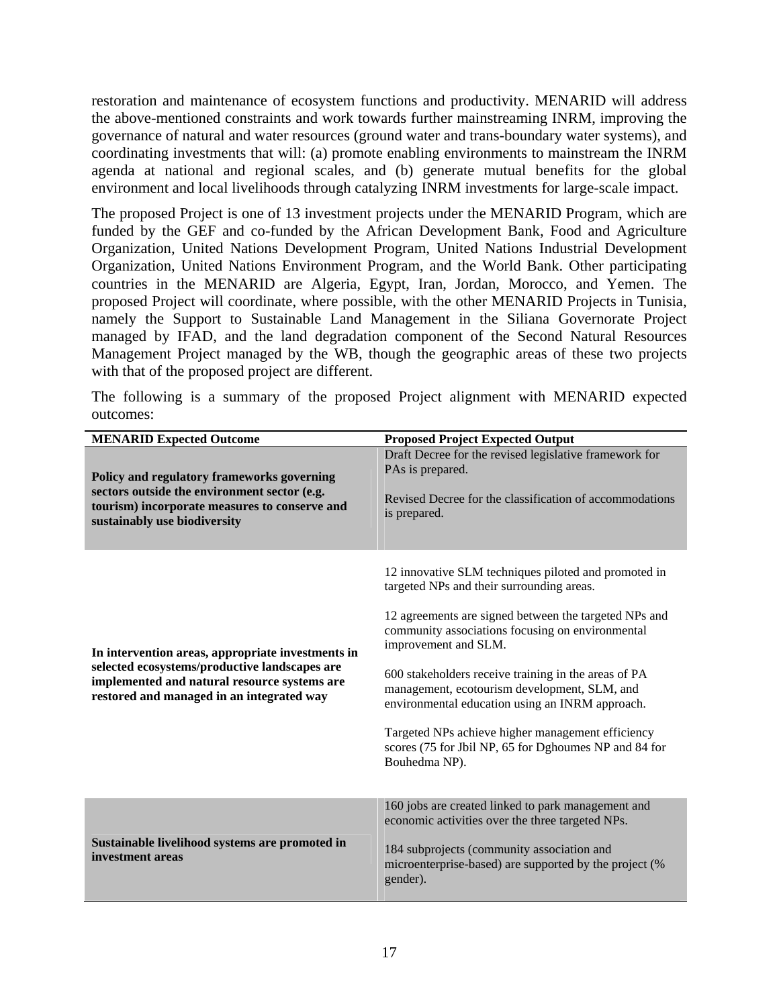restoration and maintenance of ecosystem functions and productivity. MENARID will address the above-mentioned constraints and work towards further mainstreaming INRM, improving the governance of natural and water resources (ground water and trans-boundary water systems), and coordinating investments that will: (a) promote enabling environments to mainstream the INRM agenda at national and regional scales, and (b) generate mutual benefits for the global environment and local livelihoods through catalyzing INRM investments for large-scale impact.

The proposed Project is one of 13 investment projects under the MENARID Program, which are funded by the GEF and co-funded by the African Development Bank, Food and Agriculture Organization, United Nations Development Program, United Nations Industrial Development Organization, United Nations Environment Program, and the World Bank. Other participating countries in the MENARID are Algeria, Egypt, Iran, Jordan, Morocco, and Yemen. The proposed Project will coordinate, where possible, with the other MENARID Projects in Tunisia, namely the Support to Sustainable Land Management in the Siliana Governorate Project managed by IFAD, and the land degradation component of the Second Natural Resources Management Project managed by the WB, though the geographic areas of these two projects with that of the proposed project are different.

The following is a summary of the proposed Project alignment with MENARID expected outcomes:

| <b>MENARID Expected Outcome</b>                                                                                                                                                                 | <b>Proposed Project Expected Output</b>                                                                                                                                                                                                                                                                                                                                                                                                                                                                                          |
|-------------------------------------------------------------------------------------------------------------------------------------------------------------------------------------------------|----------------------------------------------------------------------------------------------------------------------------------------------------------------------------------------------------------------------------------------------------------------------------------------------------------------------------------------------------------------------------------------------------------------------------------------------------------------------------------------------------------------------------------|
| Policy and regulatory frameworks governing<br>sectors outside the environment sector (e.g.<br>tourism) incorporate measures to conserve and<br>sustainably use biodiversity                     | Draft Decree for the revised legislative framework for<br>PAs is prepared.<br>Revised Decree for the classification of accommodations<br>is prepared.                                                                                                                                                                                                                                                                                                                                                                            |
| In intervention areas, appropriate investments in<br>selected ecosystems/productive landscapes are<br>implemented and natural resource systems are<br>restored and managed in an integrated way | 12 innovative SLM techniques piloted and promoted in<br>targeted NPs and their surrounding areas.<br>12 agreements are signed between the targeted NPs and<br>community associations focusing on environmental<br>improvement and SLM.<br>600 stakeholders receive training in the areas of PA<br>management, ecotourism development, SLM, and<br>environmental education using an INRM approach.<br>Targeted NPs achieve higher management efficiency<br>scores (75 for Jbil NP, 65 for Dghoumes NP and 84 for<br>Bouhedma NP). |
| Sustainable livelihood systems are promoted in<br>investment areas                                                                                                                              | 160 jobs are created linked to park management and<br>economic activities over the three targeted NPs.<br>184 subprojects (community association and<br>microenterprise-based) are supported by the project (%<br>gender).                                                                                                                                                                                                                                                                                                       |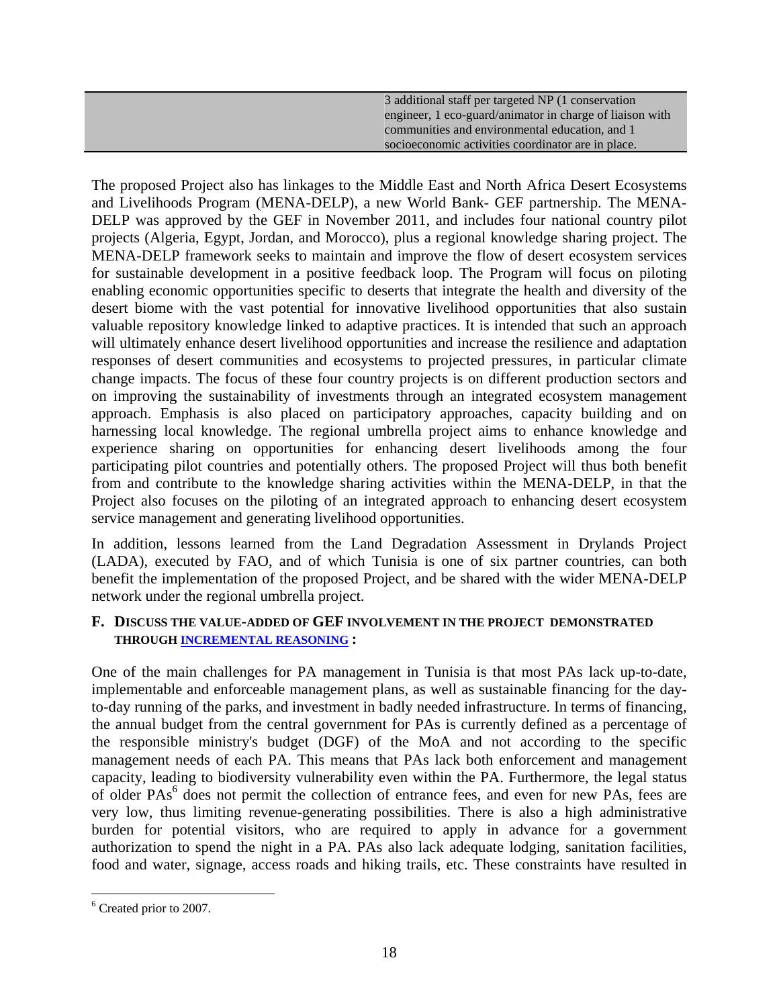| 3 additional staff per targeted NP (1 conservation       |
|----------------------------------------------------------|
| engineer, 1 eco-guard/animator in charge of liaison with |
| communities and environmental education, and 1           |
| socioeconomic activities coordinator are in place.       |

The proposed Project also has linkages to the Middle East and North Africa Desert Ecosystems and Livelihoods Program (MENA-DELP), a new World Bank- GEF partnership. The MENA-DELP was approved by the GEF in November 2011, and includes four national country pilot projects (Algeria, Egypt, Jordan, and Morocco), plus a regional knowledge sharing project. The MENA-DELP framework seeks to maintain and improve the flow of desert ecosystem services for sustainable development in a positive feedback loop. The Program will focus on piloting enabling economic opportunities specific to deserts that integrate the health and diversity of the desert biome with the vast potential for innovative livelihood opportunities that also sustain valuable repository knowledge linked to adaptive practices. It is intended that such an approach will ultimately enhance desert livelihood opportunities and increase the resilience and adaptation responses of desert communities and ecosystems to projected pressures, in particular climate change impacts. The focus of these four country projects is on different production sectors and on improving the sustainability of investments through an integrated ecosystem management approach. Emphasis is also placed on participatory approaches, capacity building and on harnessing local knowledge. The regional umbrella project aims to enhance knowledge and experience sharing on opportunities for enhancing desert livelihoods among the four participating pilot countries and potentially others. The proposed Project will thus both benefit from and contribute to the knowledge sharing activities within the MENA-DELP, in that the Project also focuses on the piloting of an integrated approach to enhancing desert ecosystem service management and generating livelihood opportunities.

In addition, lessons learned from the Land Degradation Assessment in Drylands Project (LADA), executed by FAO, and of which Tunisia is one of six partner countries, can both benefit the implementation of the proposed Project, and be shared with the wider MENA-DELP network under the regional umbrella project.

## **F. DISCUSS THE VALUE-ADDED OF GEF INVOLVEMENT IN THE PROJECT DEMONSTRATED THROUGH INCREMENTAL REASONING :**

One of the main challenges for PA management in Tunisia is that most PAs lack up-to-date, implementable and enforceable management plans, as well as sustainable financing for the dayto-day running of the parks, and investment in badly needed infrastructure. In terms of financing, the annual budget from the central government for PAs is currently defined as a percentage of the responsible ministry's budget (DGF) of the MoA and not according to the specific management needs of each PA. This means that PAs lack both enforcement and management capacity, leading to biodiversity vulnerability even within the PA. Furthermore, the legal status of older PAs<sup>6</sup> does not permit the collection of entrance fees, and even for new PAs, fees are very low, thus limiting revenue-generating possibilities. There is also a high administrative burden for potential visitors, who are required to apply in advance for a government authorization to spend the night in a PA. PAs also lack adequate lodging, sanitation facilities, food and water, signage, access roads and hiking trails, etc. These constraints have resulted in

 $\overline{a}$ 

<sup>&</sup>lt;sup>6</sup> Created prior to 2007.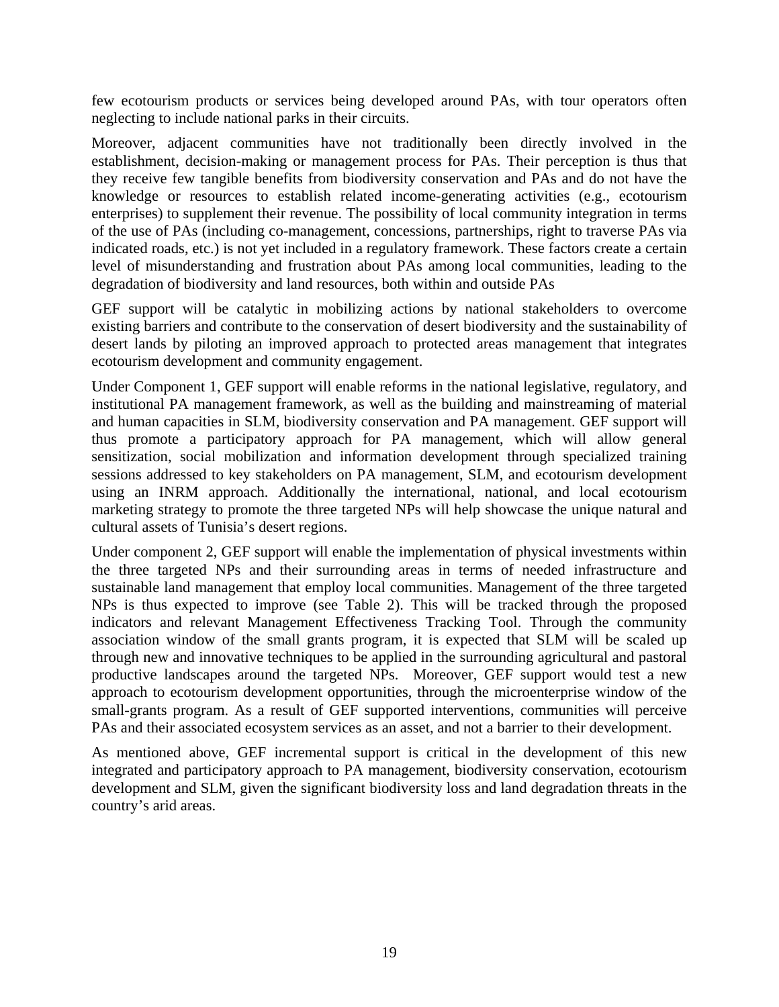few ecotourism products or services being developed around PAs, with tour operators often neglecting to include national parks in their circuits.

Moreover, adjacent communities have not traditionally been directly involved in the establishment, decision-making or management process for PAs. Their perception is thus that they receive few tangible benefits from biodiversity conservation and PAs and do not have the knowledge or resources to establish related income-generating activities (e.g., ecotourism enterprises) to supplement their revenue. The possibility of local community integration in terms of the use of PAs (including co-management, concessions, partnerships, right to traverse PAs via indicated roads, etc.) is not yet included in a regulatory framework. These factors create a certain level of misunderstanding and frustration about PAs among local communities, leading to the degradation of biodiversity and land resources, both within and outside PAs

GEF support will be catalytic in mobilizing actions by national stakeholders to overcome existing barriers and contribute to the conservation of desert biodiversity and the sustainability of desert lands by piloting an improved approach to protected areas management that integrates ecotourism development and community engagement.

Under Component 1, GEF support will enable reforms in the national legislative, regulatory, and institutional PA management framework, as well as the building and mainstreaming of material and human capacities in SLM, biodiversity conservation and PA management. GEF support will thus promote a participatory approach for PA management, which will allow general sensitization, social mobilization and information development through specialized training sessions addressed to key stakeholders on PA management, SLM, and ecotourism development using an INRM approach. Additionally the international, national, and local ecotourism marketing strategy to promote the three targeted NPs will help showcase the unique natural and cultural assets of Tunisia's desert regions.

Under component 2, GEF support will enable the implementation of physical investments within the three targeted NPs and their surrounding areas in terms of needed infrastructure and sustainable land management that employ local communities. Management of the three targeted NPs is thus expected to improve (see Table 2). This will be tracked through the proposed indicators and relevant Management Effectiveness Tracking Tool. Through the community association window of the small grants program, it is expected that SLM will be scaled up through new and innovative techniques to be applied in the surrounding agricultural and pastoral productive landscapes around the targeted NPs. Moreover, GEF support would test a new approach to ecotourism development opportunities, through the microenterprise window of the small-grants program. As a result of GEF supported interventions, communities will perceive PAs and their associated ecosystem services as an asset, and not a barrier to their development.

As mentioned above, GEF incremental support is critical in the development of this new integrated and participatory approach to PA management, biodiversity conservation, ecotourism development and SLM, given the significant biodiversity loss and land degradation threats in the country's arid areas.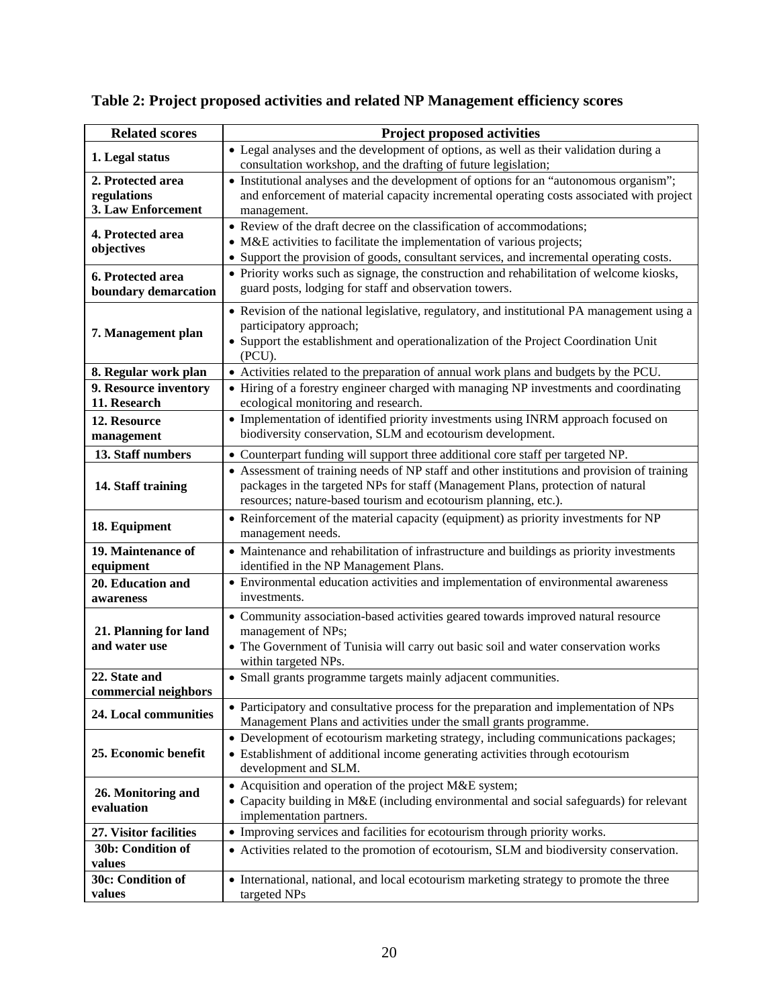| <b>Related scores</b>                                  | <b>Project proposed activities</b>                                                                                                                                                                                                                |
|--------------------------------------------------------|---------------------------------------------------------------------------------------------------------------------------------------------------------------------------------------------------------------------------------------------------|
| 1. Legal status                                        | • Legal analyses and the development of options, as well as their validation during a<br>consultation workshop, and the drafting of future legislation;                                                                                           |
| 2. Protected area<br>regulations<br>3. Law Enforcement | • Institutional analyses and the development of options for an "autonomous organism";<br>and enforcement of material capacity incremental operating costs associated with project<br>management.                                                  |
| 4. Protected area<br>objectives                        | • Review of the draft decree on the classification of accommodations;<br>• M&E activities to facilitate the implementation of various projects;<br>• Support the provision of goods, consultant services, and incremental operating costs.        |
| 6. Protected area<br>boundary demarcation              | • Priority works such as signage, the construction and rehabilitation of welcome kiosks,<br>guard posts, lodging for staff and observation towers.                                                                                                |
| 7. Management plan                                     | • Revision of the national legislative, regulatory, and institutional PA management using a<br>participatory approach;<br>• Support the establishment and operationalization of the Project Coordination Unit<br>$(PCU)$ .                        |
| 8. Regular work plan                                   | • Activities related to the preparation of annual work plans and budgets by the PCU.                                                                                                                                                              |
| 9. Resource inventory<br>11. Research                  | • Hiring of a forestry engineer charged with managing NP investments and coordinating<br>ecological monitoring and research.                                                                                                                      |
| 12. Resource<br>management                             | • Implementation of identified priority investments using INRM approach focused on<br>biodiversity conservation, SLM and ecotourism development.                                                                                                  |
| 13. Staff numbers                                      | • Counterpart funding will support three additional core staff per targeted NP.                                                                                                                                                                   |
| 14. Staff training                                     | • Assessment of training needs of NP staff and other institutions and provision of training<br>packages in the targeted NPs for staff (Management Plans, protection of natural<br>resources; nature-based tourism and ecotourism planning, etc.). |
| 18. Equipment                                          | • Reinforcement of the material capacity (equipment) as priority investments for NP<br>management needs.                                                                                                                                          |
| 19. Maintenance of<br>equipment                        | • Maintenance and rehabilitation of infrastructure and buildings as priority investments<br>identified in the NP Management Plans.                                                                                                                |
| 20. Education and<br>awareness                         | • Environmental education activities and implementation of environmental awareness<br>investments.                                                                                                                                                |
| 21. Planning for land<br>and water use                 | • Community association-based activities geared towards improved natural resource<br>management of NPs;<br>• The Government of Tunisia will carry out basic soil and water conservation works<br>within targeted NPs.                             |
| 22. State and<br>commercial neighbors                  | • Small grants programme targets mainly adjacent communities.                                                                                                                                                                                     |
| 24. Local communities                                  | • Participatory and consultative process for the preparation and implementation of NPs<br>Management Plans and activities under the small grants programme.                                                                                       |
| 25. Economic benefit                                   | • Development of ecotourism marketing strategy, including communications packages;<br>• Establishment of additional income generating activities through ecotourism<br>development and SLM.                                                       |
| 26. Monitoring and<br>evaluation                       | • Acquisition and operation of the project M&E system;<br>• Capacity building in M&E (including environmental and social safeguards) for relevant<br>implementation partners.                                                                     |
| 27. Visitor facilities                                 | • Improving services and facilities for ecotourism through priority works.                                                                                                                                                                        |
| 30b: Condition of<br>values                            | • Activities related to the promotion of ecotourism, SLM and biodiversity conservation.                                                                                                                                                           |
| 30c: Condition of<br>values                            | • International, national, and local ecotourism marketing strategy to promote the three<br>targeted NPs                                                                                                                                           |

**Table 2: Project proposed activities and related NP Management efficiency scores**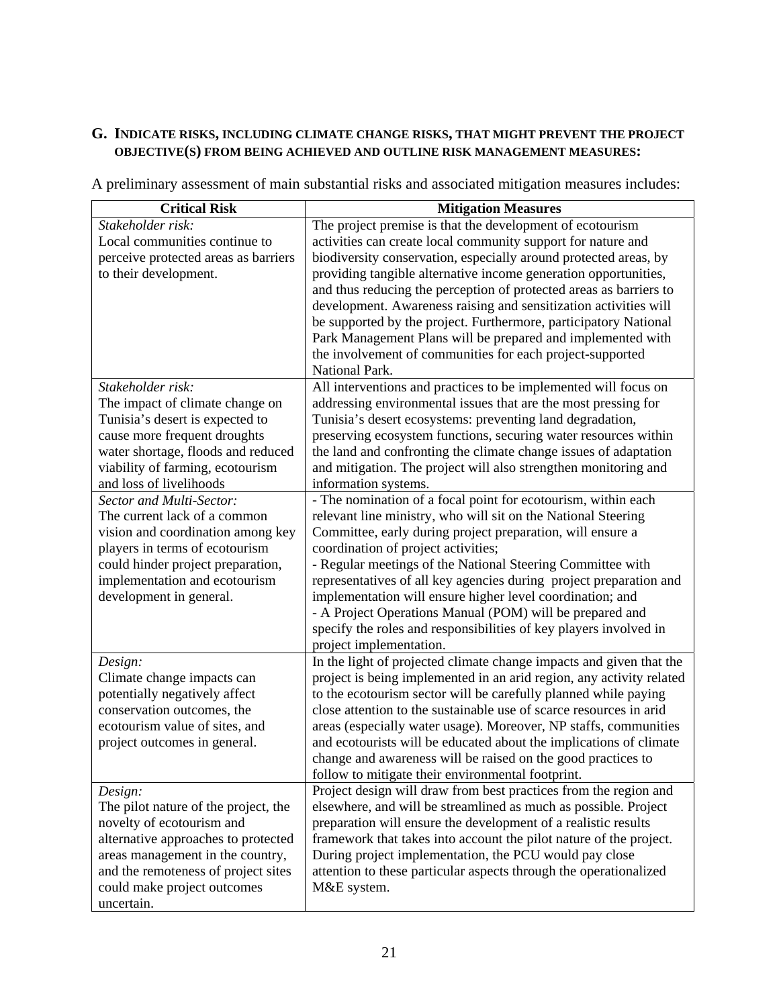## **G. INDICATE RISKS, INCLUDING CLIMATE CHANGE RISKS, THAT MIGHT PREVENT THE PROJECT OBJECTIVE(S) FROM BEING ACHIEVED AND OUTLINE RISK MANAGEMENT MEASURES:**

A preliminary assessment of main substantial risks and associated mitigation measures includes:

| <b>Critical Risk</b>                                        | <b>Mitigation Measures</b>                                                                                                                  |
|-------------------------------------------------------------|---------------------------------------------------------------------------------------------------------------------------------------------|
| Stakeholder risk:                                           | The project premise is that the development of ecotourism                                                                                   |
| Local communities continue to                               | activities can create local community support for nature and                                                                                |
| perceive protected areas as barriers                        | biodiversity conservation, especially around protected areas, by                                                                            |
| to their development.                                       | providing tangible alternative income generation opportunities,                                                                             |
|                                                             | and thus reducing the perception of protected areas as barriers to                                                                          |
|                                                             | development. Awareness raising and sensitization activities will                                                                            |
|                                                             | be supported by the project. Furthermore, participatory National                                                                            |
|                                                             | Park Management Plans will be prepared and implemented with                                                                                 |
|                                                             | the involvement of communities for each project-supported                                                                                   |
|                                                             | National Park.                                                                                                                              |
| Stakeholder risk:                                           | All interventions and practices to be implemented will focus on                                                                             |
| The impact of climate change on                             | addressing environmental issues that are the most pressing for                                                                              |
| Tunisia's desert is expected to                             | Tunisia's desert ecosystems: preventing land degradation,                                                                                   |
| cause more frequent droughts                                | preserving ecosystem functions, securing water resources within                                                                             |
| water shortage, floods and reduced                          | the land and confronting the climate change issues of adaptation                                                                            |
| viability of farming, ecotourism                            | and mitigation. The project will also strengthen monitoring and                                                                             |
| and loss of livelihoods                                     | information systems.                                                                                                                        |
| Sector and Multi-Sector:                                    | - The nomination of a focal point for ecotourism, within each                                                                               |
| The current lack of a common                                | relevant line ministry, who will sit on the National Steering                                                                               |
| vision and coordination among key                           | Committee, early during project preparation, will ensure a                                                                                  |
| players in terms of ecotourism                              | coordination of project activities;                                                                                                         |
| could hinder project preparation,                           | - Regular meetings of the National Steering Committee with                                                                                  |
| implementation and ecotourism                               | representatives of all key agencies during project preparation and                                                                          |
| development in general.                                     | implementation will ensure higher level coordination; and                                                                                   |
|                                                             | - A Project Operations Manual (POM) will be prepared and                                                                                    |
|                                                             | specify the roles and responsibilities of key players involved in                                                                           |
|                                                             | project implementation.                                                                                                                     |
| Design:                                                     | In the light of projected climate change impacts and given that the<br>project is being implemented in an arid region, any activity related |
| Climate change impacts can<br>potentially negatively affect | to the ecotourism sector will be carefully planned while paying                                                                             |
| conservation outcomes, the                                  | close attention to the sustainable use of scarce resources in arid                                                                          |
| ecotourism value of sites, and                              | areas (especially water usage). Moreover, NP staffs, communities                                                                            |
| project outcomes in general.                                | and ecotourists will be educated about the implications of climate                                                                          |
|                                                             | change and awareness will be raised on the good practices to                                                                                |
|                                                             | follow to mitigate their environmental footprint.                                                                                           |
| Design:                                                     | Project design will draw from best practices from the region and                                                                            |
| The pilot nature of the project, the                        | elsewhere, and will be streamlined as much as possible. Project                                                                             |
| novelty of ecotourism and                                   | preparation will ensure the development of a realistic results                                                                              |
| alternative approaches to protected                         | framework that takes into account the pilot nature of the project.                                                                          |
| areas management in the country,                            | During project implementation, the PCU would pay close                                                                                      |
| and the remoteness of project sites                         | attention to these particular aspects through the operationalized                                                                           |
| could make project outcomes                                 | M&E system.                                                                                                                                 |
| uncertain.                                                  |                                                                                                                                             |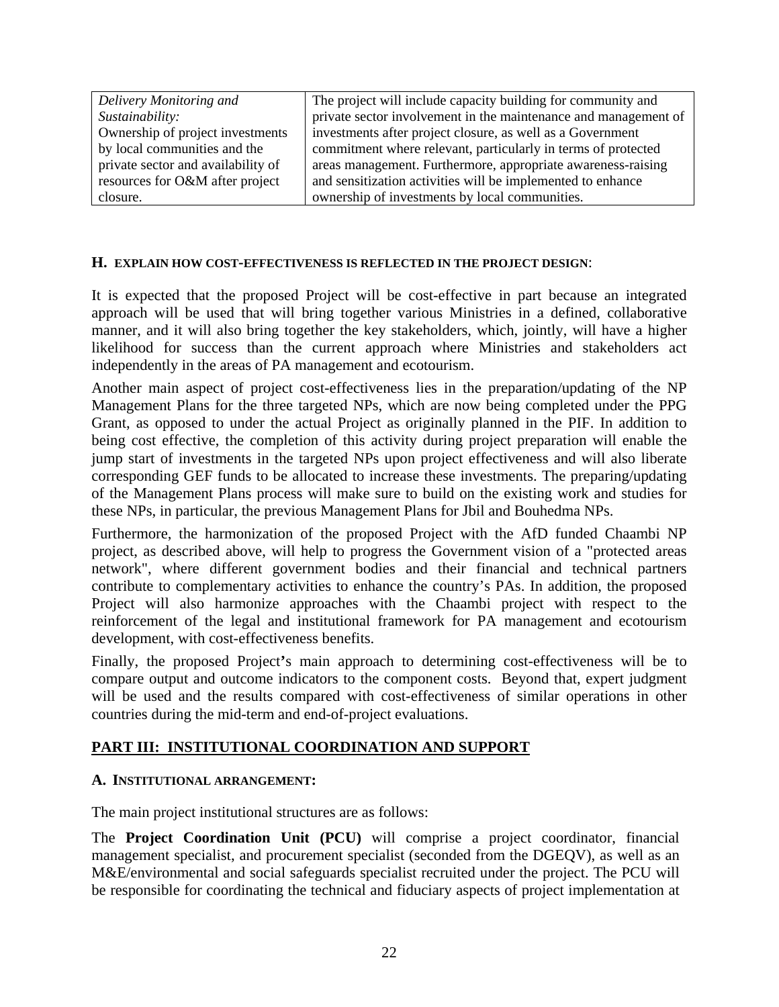| The project will include capacity building for community and    |
|-----------------------------------------------------------------|
| private sector involvement in the maintenance and management of |
| investments after project closure, as well as a Government      |
| commitment where relevant, particularly in terms of protected   |
| areas management. Furthermore, appropriate awareness-raising    |
| and sensitization activities will be implemented to enhance     |
| ownership of investments by local communities.                  |
|                                                                 |

### **H. EXPLAIN HOW COST-EFFECTIVENESS IS REFLECTED IN THE PROJECT DESIGN**:

It is expected that the proposed Project will be cost-effective in part because an integrated approach will be used that will bring together various Ministries in a defined, collaborative manner, and it will also bring together the key stakeholders, which, jointly, will have a higher likelihood for success than the current approach where Ministries and stakeholders act independently in the areas of PA management and ecotourism.

Another main aspect of project cost-effectiveness lies in the preparation/updating of the NP Management Plans for the three targeted NPs, which are now being completed under the PPG Grant, as opposed to under the actual Project as originally planned in the PIF. In addition to being cost effective, the completion of this activity during project preparation will enable the jump start of investments in the targeted NPs upon project effectiveness and will also liberate corresponding GEF funds to be allocated to increase these investments. The preparing/updating of the Management Plans process will make sure to build on the existing work and studies for these NPs, in particular, the previous Management Plans for Jbil and Bouhedma NPs.

Furthermore, the harmonization of the proposed Project with the AfD funded Chaambi NP project, as described above, will help to progress the Government vision of a "protected areas network", where different government bodies and their financial and technical partners contribute to complementary activities to enhance the country's PAs. In addition, the proposed Project will also harmonize approaches with the Chaambi project with respect to the reinforcement of the legal and institutional framework for PA management and ecotourism development, with cost-effectiveness benefits.

Finally, the proposed Project**'**s main approach to determining cost-effectiveness will be to compare output and outcome indicators to the component costs. Beyond that, expert judgment will be used and the results compared with cost-effectiveness of similar operations in other countries during the mid-term and end-of-project evaluations.

## **PART III: INSTITUTIONAL COORDINATION AND SUPPORT**

### **A. INSTITUTIONAL ARRANGEMENT:**

The main project institutional structures are as follows:

The **Project Coordination Unit (PCU)** will comprise a project coordinator, financial management specialist, and procurement specialist (seconded from the DGEQV), as well as an M&E/environmental and social safeguards specialist recruited under the project. The PCU will be responsible for coordinating the technical and fiduciary aspects of project implementation at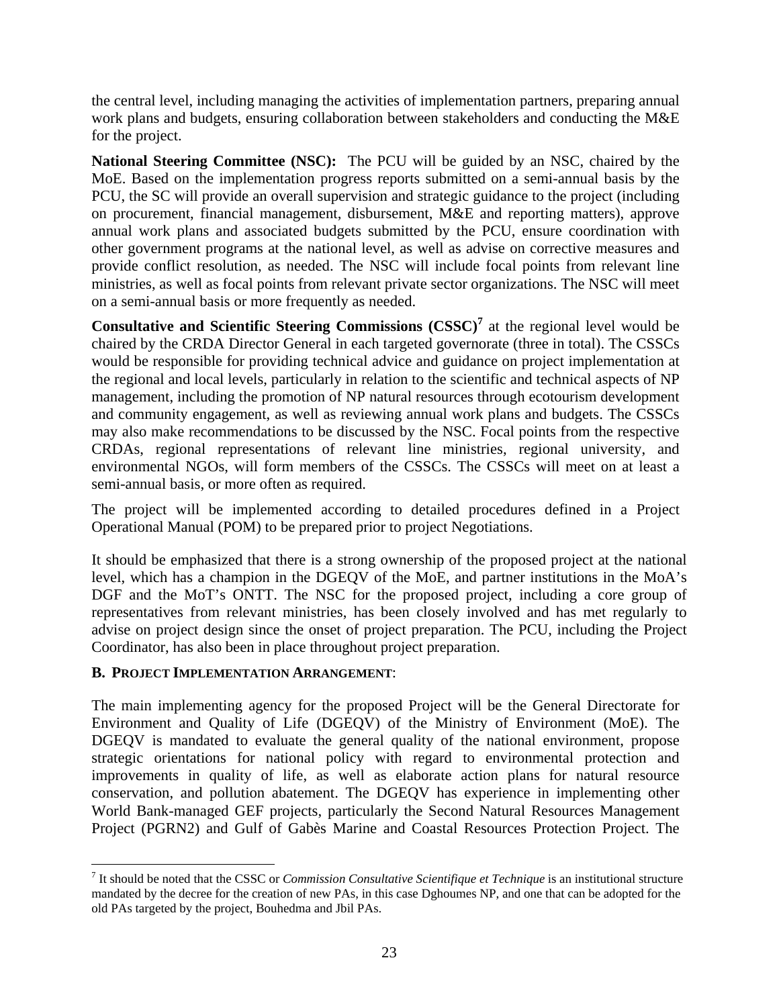the central level, including managing the activities of implementation partners, preparing annual work plans and budgets, ensuring collaboration between stakeholders and conducting the M&E for the project.

**National Steering Committee (NSC):** The PCU will be guided by an NSC, chaired by the MoE. Based on the implementation progress reports submitted on a semi-annual basis by the PCU, the SC will provide an overall supervision and strategic guidance to the project (including on procurement, financial management, disbursement, M&E and reporting matters), approve annual work plans and associated budgets submitted by the PCU, ensure coordination with other government programs at the national level, as well as advise on corrective measures and provide conflict resolution, as needed. The NSC will include focal points from relevant line ministries, as well as focal points from relevant private sector organizations. The NSC will meet on a semi-annual basis or more frequently as needed.

**Consultative and Scientific Steering Commissions (CSSC)<sup>7</sup>** at the regional level would be chaired by the CRDA Director General in each targeted governorate (three in total). The CSSCs would be responsible for providing technical advice and guidance on project implementation at the regional and local levels, particularly in relation to the scientific and technical aspects of NP management, including the promotion of NP natural resources through ecotourism development and community engagement, as well as reviewing annual work plans and budgets. The CSSCs may also make recommendations to be discussed by the NSC. Focal points from the respective CRDAs, regional representations of relevant line ministries, regional university, and environmental NGOs, will form members of the CSSCs. The CSSCs will meet on at least a semi-annual basis, or more often as required.

The project will be implemented according to detailed procedures defined in a Project Operational Manual (POM) to be prepared prior to project Negotiations.

It should be emphasized that there is a strong ownership of the proposed project at the national level, which has a champion in the DGEQV of the MoE, and partner institutions in the MoA's DGF and the MoT's ONTT. The NSC for the proposed project, including a core group of representatives from relevant ministries, has been closely involved and has met regularly to advise on project design since the onset of project preparation. The PCU, including the Project Coordinator, has also been in place throughout project preparation.

### **B. PROJECT IMPLEMENTATION ARRANGEMENT**:

 $\overline{a}$ 

The main implementing agency for the proposed Project will be the General Directorate for Environment and Quality of Life (DGEQV) of the Ministry of Environment (MoE). The DGEQV is mandated to evaluate the general quality of the national environment, propose strategic orientations for national policy with regard to environmental protection and improvements in quality of life, as well as elaborate action plans for natural resource conservation, and pollution abatement. The DGEQV has experience in implementing other World Bank-managed GEF projects, particularly the Second Natural Resources Management Project (PGRN2) and Gulf of Gabès Marine and Coastal Resources Protection Project. The

<sup>7</sup> It should be noted that the CSSC or *Commission Consultative Scientifique et Technique* is an institutional structure mandated by the decree for the creation of new PAs, in this case Dghoumes NP, and one that can be adopted for the old PAs targeted by the project, Bouhedma and Jbil PAs.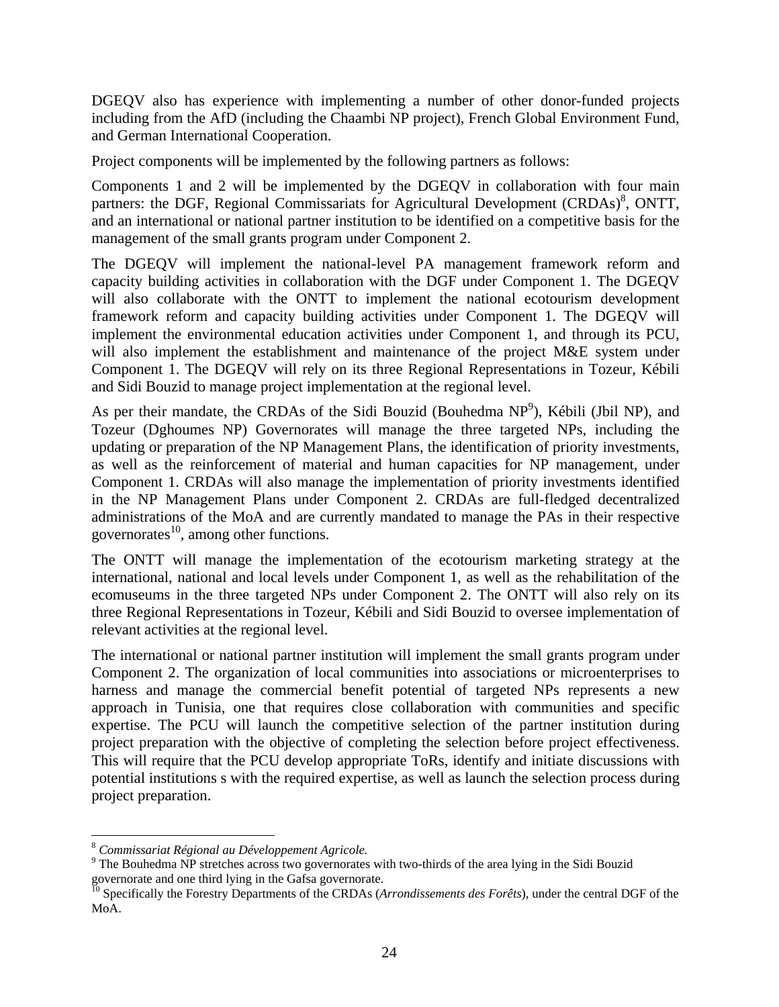DGEQV also has experience with implementing a number of other donor-funded projects including from the AfD (including the Chaambi NP project), French Global Environment Fund, and German International Cooperation.

Project components will be implemented by the following partners as follows:

Components 1 and 2 will be implemented by the DGEQV in collaboration with four main partners: the DGF, Regional Commissariats for Agricultural Development (CRDAs)<sup>8</sup>, ONTT, and an international or national partner institution to be identified on a competitive basis for the management of the small grants program under Component 2.

The DGEQV will implement the national-level PA management framework reform and capacity building activities in collaboration with the DGF under Component 1. The DGEQV will also collaborate with the ONTT to implement the national ecotourism development framework reform and capacity building activities under Component 1. The DGEQV will implement the environmental education activities under Component 1, and through its PCU, will also implement the establishment and maintenance of the project M&E system under Component 1. The DGEQV will rely on its three Regional Representations in Tozeur, Kébili and Sidi Bouzid to manage project implementation at the regional level.

As per their mandate, the CRDAs of the Sidi Bouzid (Bouhedma NP<sup>9</sup>), Kébili (Jbil NP), and Tozeur (Dghoumes NP) Governorates will manage the three targeted NPs, including the updating or preparation of the NP Management Plans, the identification of priority investments, as well as the reinforcement of material and human capacities for NP management, under Component 1. CRDAs will also manage the implementation of priority investments identified in the NP Management Plans under Component 2. CRDAs are full-fledged decentralized administrations of the MoA and are currently mandated to manage the PAs in their respective governorates $^{10}$ , among other functions.

The ONTT will manage the implementation of the ecotourism marketing strategy at the international, national and local levels under Component 1, as well as the rehabilitation of the ecomuseums in the three targeted NPs under Component 2. The ONTT will also rely on its three Regional Representations in Tozeur, Kébili and Sidi Bouzid to oversee implementation of relevant activities at the regional level.

The international or national partner institution will implement the small grants program under Component 2. The organization of local communities into associations or microenterprises to harness and manage the commercial benefit potential of targeted NPs represents a new approach in Tunisia, one that requires close collaboration with communities and specific expertise. The PCU will launch the competitive selection of the partner institution during project preparation with the objective of completing the selection before project effectiveness. This will require that the PCU develop appropriate ToRs, identify and initiate discussions with potential institutions s with the required expertise, as well as launch the selection process during project preparation.

 $\overline{a}$ 

<sup>8</sup> *Commissariat Régional au Développement Agricole.* 9

<sup>&</sup>lt;sup>9</sup> The Bouhedma NP stretches across two governorates with two-thirds of the area lying in the Sidi Bouzid governorate and one third lying in the Gafsa governorate.

<sup>&</sup>lt;sup>10</sup> Specifically the Forestry Departments of the CRDAs (*Arrondissements des Forêts*), under the central DGF of the MoA.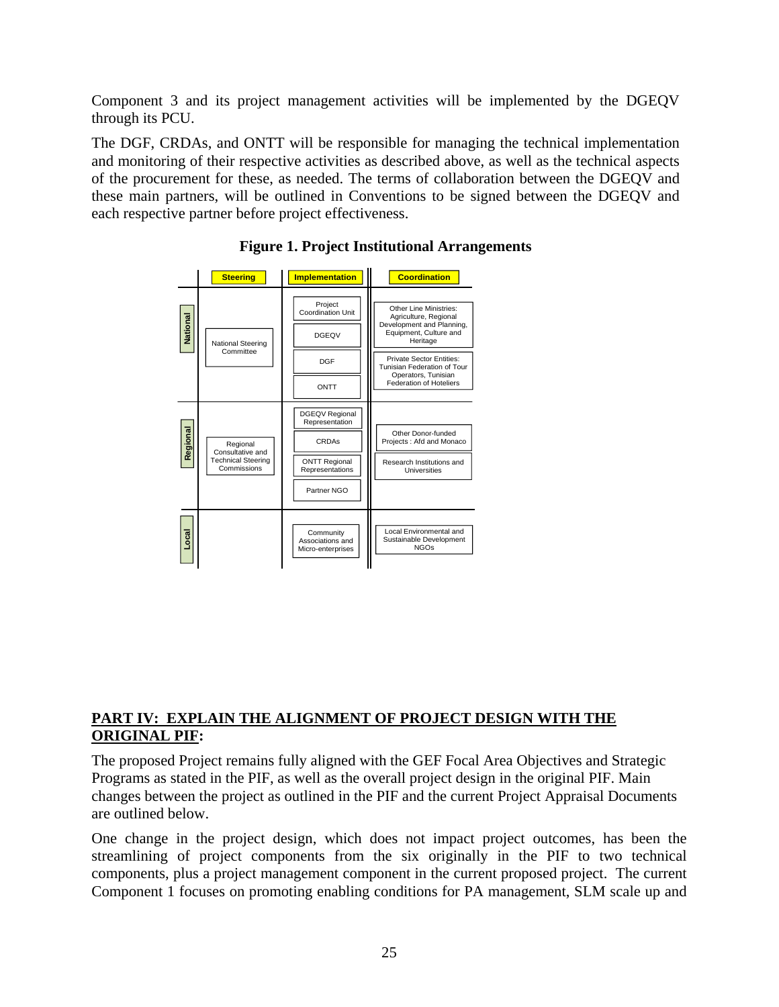Component 3 and its project management activities will be implemented by the DGEQV through its PCU.

The DGF, CRDAs, and ONTT will be responsible for managing the technical implementation and monitoring of their respective activities as described above, as well as the technical aspects of the procurement for these, as needed. The terms of collaboration between the DGEQV and these main partners, will be outlined in Conventions to be signed between the DGEQV and each respective partner before project effectiveness.





## **PART IV: EXPLAIN THE ALIGNMENT OF PROJECT DESIGN WITH THE ORIGINAL PIF:**

The proposed Project remains fully aligned with the GEF Focal Area Objectives and Strategic Programs as stated in the PIF, as well as the overall project design in the original PIF. Main changes between the project as outlined in the PIF and the current Project Appraisal Documents are outlined below.

One change in the project design, which does not impact project outcomes, has been the streamlining of project components from the six originally in the PIF to two technical components, plus a project management component in the current proposed project. The current Component 1 focuses on promoting enabling conditions for PA management, SLM scale up and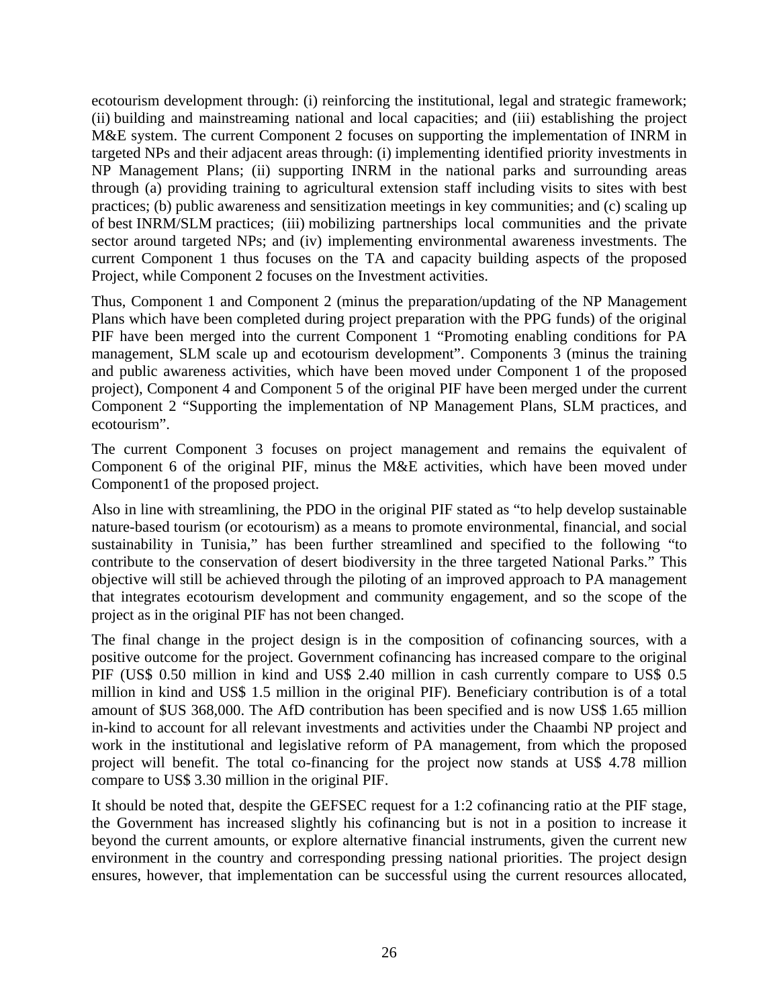ecotourism development through: (i) reinforcing the institutional, legal and strategic framework; (ii) building and mainstreaming national and local capacities; and (iii) establishing the project M&E system. The current Component 2 focuses on supporting the implementation of INRM in targeted NPs and their adjacent areas through: (i) implementing identified priority investments in NP Management Plans; (ii) supporting INRM in the national parks and surrounding areas through (a) providing training to agricultural extension staff including visits to sites with best practices; (b) public awareness and sensitization meetings in key communities; and (c) scaling up of best INRM/SLM practices; (iii) mobilizing partnerships local communities and the private sector around targeted NPs; and (iv) implementing environmental awareness investments. The current Component 1 thus focuses on the TA and capacity building aspects of the proposed Project, while Component 2 focuses on the Investment activities.

Thus, Component 1 and Component 2 (minus the preparation/updating of the NP Management Plans which have been completed during project preparation with the PPG funds) of the original PIF have been merged into the current Component 1 "Promoting enabling conditions for PA management, SLM scale up and ecotourism development". Components 3 (minus the training and public awareness activities, which have been moved under Component 1 of the proposed project), Component 4 and Component 5 of the original PIF have been merged under the current Component 2 "Supporting the implementation of NP Management Plans, SLM practices, and ecotourism".

The current Component 3 focuses on project management and remains the equivalent of Component 6 of the original PIF, minus the M&E activities, which have been moved under Component1 of the proposed project.

Also in line with streamlining, the PDO in the original PIF stated as "to help develop sustainable nature-based tourism (or ecotourism) as a means to promote environmental, financial, and social sustainability in Tunisia," has been further streamlined and specified to the following "to contribute to the conservation of desert biodiversity in the three targeted National Parks." This objective will still be achieved through the piloting of an improved approach to PA management that integrates ecotourism development and community engagement, and so the scope of the project as in the original PIF has not been changed.

The final change in the project design is in the composition of cofinancing sources, with a positive outcome for the project. Government cofinancing has increased compare to the original PIF (US\$ 0.50 million in kind and US\$ 2.40 million in cash currently compare to US\$ 0.5 million in kind and US\$ 1.5 million in the original PIF). Beneficiary contribution is of a total amount of \$US 368,000. The AfD contribution has been specified and is now US\$ 1.65 million in-kind to account for all relevant investments and activities under the Chaambi NP project and work in the institutional and legislative reform of PA management, from which the proposed project will benefit. The total co-financing for the project now stands at US\$ 4.78 million compare to US\$ 3.30 million in the original PIF.

It should be noted that, despite the GEFSEC request for a 1:2 cofinancing ratio at the PIF stage, the Government has increased slightly his cofinancing but is not in a position to increase it beyond the current amounts, or explore alternative financial instruments, given the current new environment in the country and corresponding pressing national priorities. The project design ensures, however, that implementation can be successful using the current resources allocated,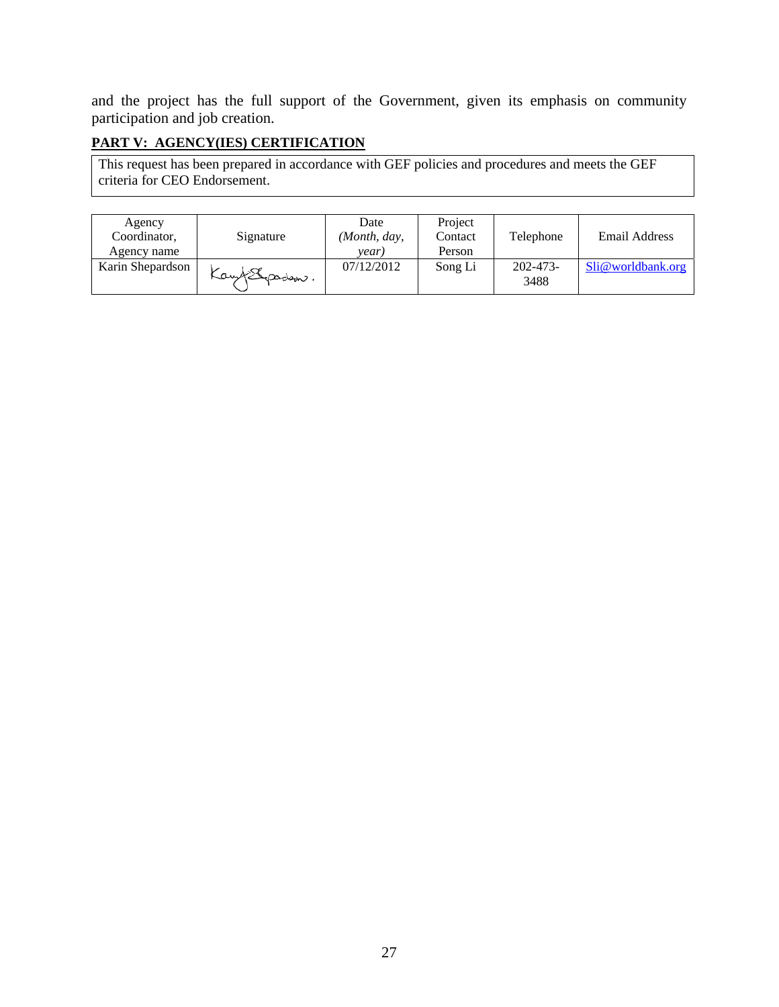and the project has the full support of the Government, given its emphasis on community participation and job creation.

# **PART V: AGENCY(IES) CERTIFICATION**

This request has been prepared in accordance with GEF policies and procedures and meets the GEF criteria for CEO Endorsement.

| Agency<br>Coordinator,<br>Agency name | Signature     | Date<br>(Month, day,<br>vear. | Project<br>Contact<br>Person | Telephone             | Email Address     |
|---------------------------------------|---------------|-------------------------------|------------------------------|-----------------------|-------------------|
| Karin Shepardson                      | Kay (Spaden). | 07/12/2012                    | Song Li                      | $202 - 473 -$<br>3488 | Sli@worldbank.org |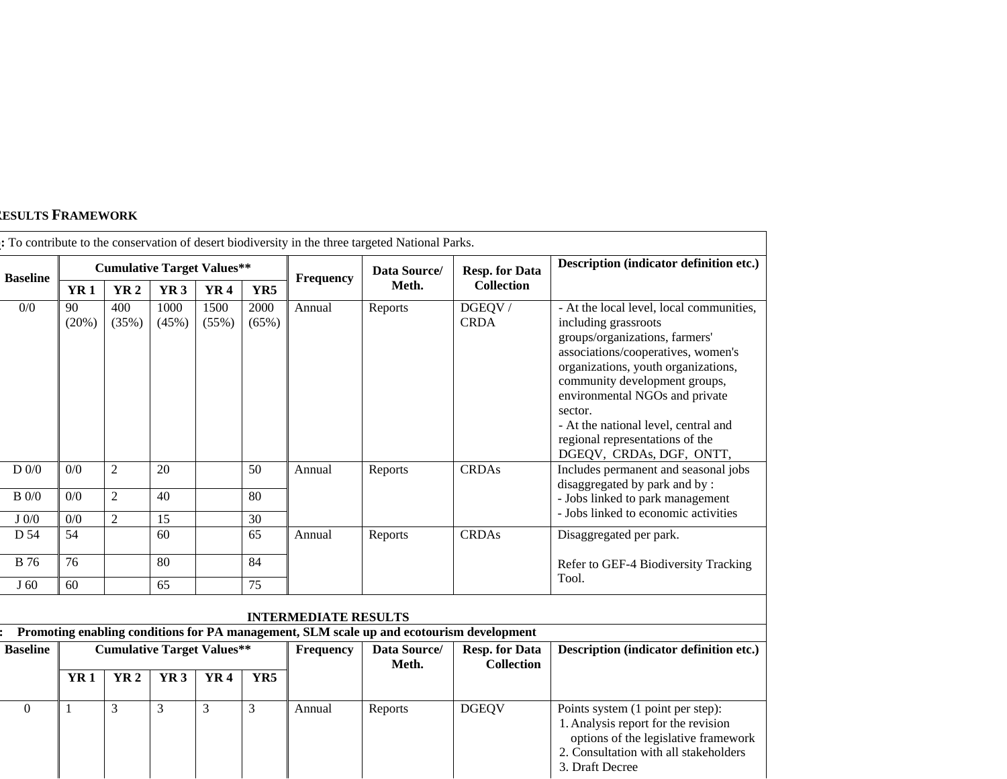#### **RESULTS FRAMEWORK**

|                 |             |                                   |                 |               |               |                             | : To contribute to the conservation of desert biodiversity in the three targeted National Parks. |                       |                                                                                                                                                                                                                                                                                                                                                                      |
|-----------------|-------------|-----------------------------------|-----------------|---------------|---------------|-----------------------------|--------------------------------------------------------------------------------------------------|-----------------------|----------------------------------------------------------------------------------------------------------------------------------------------------------------------------------------------------------------------------------------------------------------------------------------------------------------------------------------------------------------------|
| <b>Baseline</b> |             | <b>Cumulative Target Values**</b> |                 |               |               | Data Source/<br>Frequency   |                                                                                                  | <b>Resp. for Data</b> | Description (indicator definition etc.)                                                                                                                                                                                                                                                                                                                              |
|                 | <b>YR1</b>  | <b>YR2</b>                        | YR <sub>3</sub> | <b>YR4</b>    | YR5           |                             | Meth.                                                                                            | <b>Collection</b>     |                                                                                                                                                                                                                                                                                                                                                                      |
| 0/0             | 90<br>(20%) | 400<br>(35%)                      | 1000<br>(45%)   | 1500<br>(55%) | 2000<br>(65%) | Annual                      | Reports                                                                                          | DGEQV/<br><b>CRDA</b> | - At the local level, local communities,<br>including grassroots<br>groups/organizations, farmers'<br>associations/cooperatives, women's<br>organizations, youth organizations,<br>community development groups,<br>environmental NGOs and private<br>sector.<br>- At the national level, central and<br>regional representations of the<br>DGEQV, CRDAs, DGF, ONTT, |
| $D_0/0$         | 0/0         | 2                                 | 20              |               | 50            | Annual                      | Reports                                                                                          | <b>CRDAs</b>          | Includes permanent and seasonal jobs<br>disaggregated by park and by:                                                                                                                                                                                                                                                                                                |
| $B$ 0/0         | 0/0         | $\overline{2}$                    | 40              |               | 80            |                             |                                                                                                  |                       | - Jobs linked to park management<br>- Jobs linked to economic activities                                                                                                                                                                                                                                                                                             |
| $J_0/0$         | 0/0         | $\overline{2}$                    | 15              |               | 30            |                             |                                                                                                  |                       |                                                                                                                                                                                                                                                                                                                                                                      |
| D 54            | 54          |                                   | 60              |               | 65            | Annual                      | Reports                                                                                          | <b>CRDAs</b>          | Disaggregated per park.                                                                                                                                                                                                                                                                                                                                              |
| <b>B</b> 76     | 76          |                                   | 80              |               | 84            |                             |                                                                                                  |                       | Refer to GEF-4 Biodiversity Tracking                                                                                                                                                                                                                                                                                                                                 |
| J <sub>60</sub> | 60          |                                   | 65              |               | 75            |                             |                                                                                                  |                       | Tool.                                                                                                                                                                                                                                                                                                                                                                |
|                 |             |                                   |                 |               |               | <b>INTERMEDIATE RESULTS</b> |                                                                                                  |                       |                                                                                                                                                                                                                                                                                                                                                                      |
|                 |             |                                   |                 |               |               |                             | Promoting enabling conditions for PA management, SLM scale up and ecotourism development         |                       |                                                                                                                                                                                                                                                                                                                                                                      |
| Raseline        |             | Cumulative Target Values**        |                 |               |               | <b>Frequency</b>            | <b>Data Source/</b>                                                                              | Resp for Data         | Description (indicator definition etc.)                                                                                                                                                                                                                                                                                                                              |

| <b>Baseline</b> |      | <b>Cumulative Target Values**</b> |            |      |     | Frequency | Data Source/<br>Meth. | <b>Resp. for Data</b><br><b>Collection</b> | <b>Description (indicator definition etc.)</b>                                                                                                                               |
|-----------------|------|-----------------------------------|------------|------|-----|-----------|-----------------------|--------------------------------------------|------------------------------------------------------------------------------------------------------------------------------------------------------------------------------|
|                 | YR 1 | <b>YR 2</b>                       | <b>YR3</b> | YR 4 | YR5 |           |                       |                                            |                                                                                                                                                                              |
| $\theta$        |      |                                   |            |      |     | Annual    | Reports               | <b>DGEQV</b>                               | Points system (1 point per step):<br>1. Analysis report for the revision<br>options of the legislative framework<br>2. Consultation with all stakeholders<br>3. Draft Decree |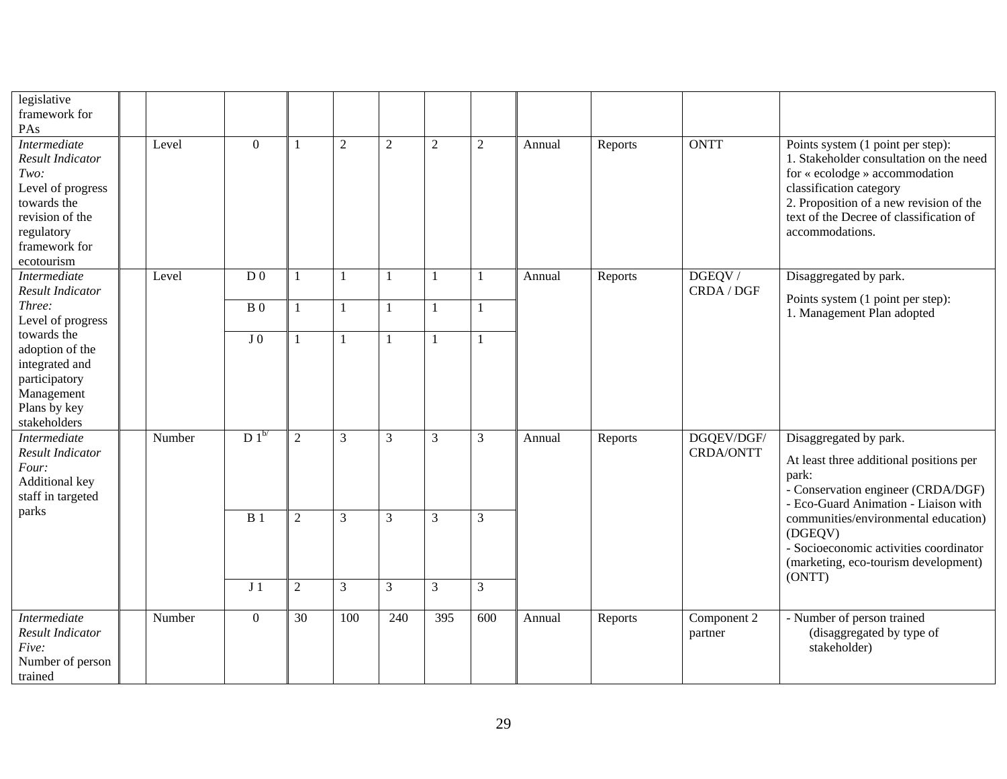| legislative<br>framework for<br>PAs                                                                                                                 |        |                 |                 |                  |                |                  |                  |        |         |                                |                                                                                                                                                                                                                                                    |
|-----------------------------------------------------------------------------------------------------------------------------------------------------|--------|-----------------|-----------------|------------------|----------------|------------------|------------------|--------|---------|--------------------------------|----------------------------------------------------------------------------------------------------------------------------------------------------------------------------------------------------------------------------------------------------|
| <b>Intermediate</b><br>Result Indicator<br>Two:<br>Level of progress<br>towards the<br>revision of the<br>regulatory<br>framework for<br>ecotourism | Level  | $\overline{0}$  |                 | $\boldsymbol{2}$ | $\overline{2}$ | $\overline{c}$   | $\overline{c}$   | Annual | Reports | <b>ONTT</b>                    | Points system (1 point per step):<br>1. Stakeholder consultation on the need<br>for « ecolodge » accommodation<br>classification category<br>2. Proposition of a new revision of the<br>text of the Decree of classification of<br>accommodations. |
| <b>Intermediate</b><br><b>Result Indicator</b>                                                                                                      | Level  | D <sub>0</sub>  | $\mathbf{1}$    |                  |                |                  | 1                | Annual | Reports | DGEQV/<br>CRDA / DGF           | Disaggregated by park.<br>Points system (1 point per step):                                                                                                                                                                                        |
| Three:<br>Level of progress                                                                                                                         |        | B <sub>0</sub>  | $\mathbf{1}$    |                  |                |                  | 1                |        |         | 1. Management Plan adopted     |                                                                                                                                                                                                                                                    |
| towards the<br>adoption of the<br>integrated and<br>participatory<br>Management<br>Plans by key<br>stakeholders                                     |        | J <sub>0</sub>  |                 |                  |                |                  |                  |        |         |                                |                                                                                                                                                                                                                                                    |
| <b>Intermediate</b><br>Result Indicator<br>Four:<br>Additional key<br>staff in targeted<br>parks                                                    | Number | $D1^{b}$        | $\overline{2}$  | 3                | 3              | 3                | 3                | Annual | Reports | DGQEV/DGF/<br><b>CRDA/ONTT</b> | Disaggregated by park.<br>At least three additional positions per<br>park:<br>- Conservation engineer (CRDA/DGF)<br>- Eco-Guard Animation - Liaison with                                                                                           |
|                                                                                                                                                     |        | $\overline{B1}$ | $\overline{2}$  | 3                | 3              | 3                | 3                |        |         |                                | communities/environmental education)<br>(DGEQV)<br>- Socioeconomic activities coordinator<br>(marketing, eco-tourism development)                                                                                                                  |
|                                                                                                                                                     |        | J <sub>1</sub>  | $\overline{2}$  | 3                | 3              | 3                | $\overline{3}$   |        |         |                                | (ONTT)                                                                                                                                                                                                                                             |
| <b>Intermediate</b><br>Result Indicator<br>Five:<br>Number of person<br>trained                                                                     | Number | $\overline{0}$  | $\overline{30}$ | 100              | 240            | $\overline{395}$ | $\overline{600}$ | Annual | Reports | Component 2<br>partner         | - Number of person trained<br>(disaggregated by type of<br>stakeholder)                                                                                                                                                                            |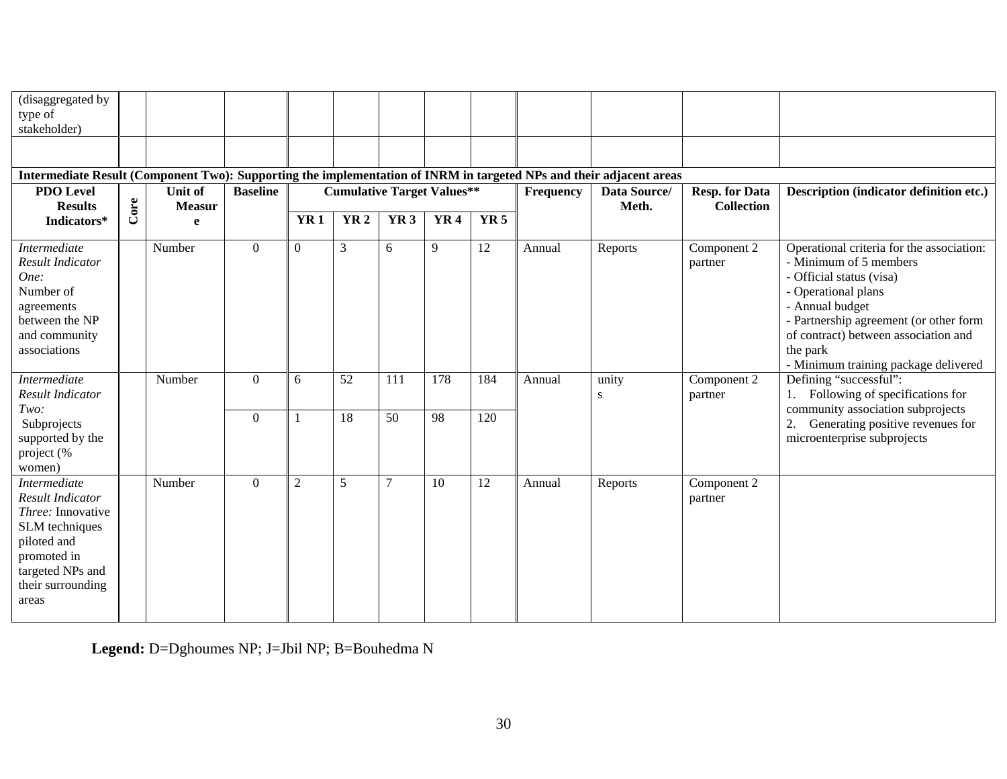| (disaggregated by<br>type of<br>stakeholder)                                                                                                                                 |      |                                 |                 |                |                                   |                 |                 |             |           |                       |                                            |                                                                                                                                                                                                                                                                                 |
|------------------------------------------------------------------------------------------------------------------------------------------------------------------------------|------|---------------------------------|-----------------|----------------|-----------------------------------|-----------------|-----------------|-------------|-----------|-----------------------|--------------------------------------------|---------------------------------------------------------------------------------------------------------------------------------------------------------------------------------------------------------------------------------------------------------------------------------|
|                                                                                                                                                                              |      |                                 |                 |                |                                   |                 |                 |             |           |                       |                                            |                                                                                                                                                                                                                                                                                 |
| Intermediate Result (Component Two): Supporting the implementation of INRM in targeted NPs and their adjacent areas                                                          |      |                                 |                 |                |                                   |                 |                 |             |           |                       |                                            |                                                                                                                                                                                                                                                                                 |
| <b>PDO Level</b><br><b>Results</b>                                                                                                                                           | Core | <b>Unit of</b><br><b>Measur</b> | <b>Baseline</b> |                | <b>Cumulative Target Values**</b> |                 |                 |             | Frequency | Data Source/<br>Meth. | <b>Resp. for Data</b><br><b>Collection</b> | Description (indicator definition etc.)                                                                                                                                                                                                                                         |
| Indicators*                                                                                                                                                                  |      | e                               |                 | <b>YR1</b>     | <b>YR2</b>                        | YR <sub>3</sub> | YR <sub>4</sub> | <b>YR 5</b> |           |                       |                                            |                                                                                                                                                                                                                                                                                 |
| Intermediate<br><b>Result Indicator</b><br>One:<br>Number of<br>agreements<br>between the NP<br>and community<br>associations                                                |      | Number                          | $\overline{0}$  | $\Omega$       | 3                                 | 6               | 9               | 12          | Annual    | Reports               | Component 2<br>partner                     | Operational criteria for the association:<br>- Minimum of 5 members<br>- Official status (visa)<br>- Operational plans<br>- Annual budget<br>- Partnership agreement (or other form<br>of contract) between association and<br>the park<br>- Minimum training package delivered |
| Intermediate<br><b>Result Indicator</b>                                                                                                                                      |      | Number                          | $\Omega$        | 6              | 52                                | 111             | 178             | 184         | Annual    | unity<br>S            | Component 2<br>partner                     | Defining "successful":<br>Following of specifications for                                                                                                                                                                                                                       |
| Two:<br>Subprojects<br>supported by the<br>project (%<br>women)                                                                                                              |      |                                 | $\overline{0}$  |                | 18                                | 50              | 98              | 120         |           |                       |                                            | community association subprojects<br>Generating positive revenues for<br>2.<br>microenterprise subprojects                                                                                                                                                                      |
| <b>Intermediate</b><br><b>Result Indicator</b><br><i>Three:</i> Innovative<br>SLM techniques<br>piloted and<br>promoted in<br>targeted NPs and<br>their surrounding<br>areas |      | Number                          | $\overline{0}$  | $\mathfrak{2}$ | 5                                 | 7               | 10              | 12          | Annual    | Reports               | Component 2<br>partner                     |                                                                                                                                                                                                                                                                                 |

**Legend:** D=Dghoumes NP; J=Jbil NP; B=Bouhedma N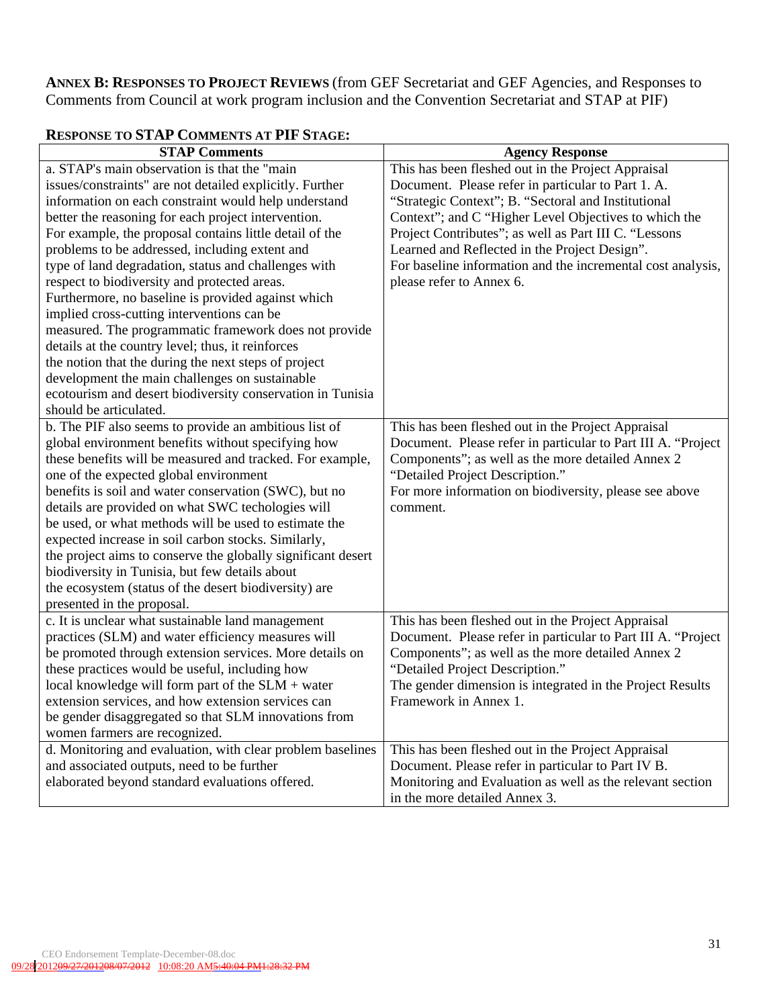**ANNEX B: RESPONSES TO PROJECT REVIEWS** (from GEF Secretariat and GEF Agencies, and Responses to Comments from Council at work program inclusion and the Convention Secretariat and STAP at PIF)

| <b>STAP Comments</b>                                         | <b>Agency Response</b>                                       |
|--------------------------------------------------------------|--------------------------------------------------------------|
| a. STAP's main observation is that the "main                 | This has been fleshed out in the Project Appraisal           |
| issues/constraints" are not detailed explicitly. Further     | Document. Please refer in particular to Part 1. A.           |
| information on each constraint would help understand         | "Strategic Context"; B. "Sectoral and Institutional          |
| better the reasoning for each project intervention.          | Context"; and C "Higher Level Objectives to which the        |
| For example, the proposal contains little detail of the      | Project Contributes"; as well as Part III C. "Lessons        |
| problems to be addressed, including extent and               | Learned and Reflected in the Project Design".                |
| type of land degradation, status and challenges with         | For baseline information and the incremental cost analysis,  |
| respect to biodiversity and protected areas.                 | please refer to Annex 6.                                     |
| Furthermore, no baseline is provided against which           |                                                              |
| implied cross-cutting interventions can be                   |                                                              |
| measured. The programmatic framework does not provide        |                                                              |
| details at the country level; thus, it reinforces            |                                                              |
| the notion that the during the next steps of project         |                                                              |
| development the main challenges on sustainable               |                                                              |
| ecotourism and desert biodiversity conservation in Tunisia   |                                                              |
| should be articulated.                                       |                                                              |
| b. The PIF also seems to provide an ambitious list of        | This has been fleshed out in the Project Appraisal           |
| global environment benefits without specifying how           | Document. Please refer in particular to Part III A. "Project |
| these benefits will be measured and tracked. For example,    | Components"; as well as the more detailed Annex 2            |
| one of the expected global environment                       | "Detailed Project Description."                              |
| benefits is soil and water conservation (SWC), but no        | For more information on biodiversity, please see above       |
| details are provided on what SWC techologies will            | comment.                                                     |
| be used, or what methods will be used to estimate the        |                                                              |
| expected increase in soil carbon stocks. Similarly,          |                                                              |
| the project aims to conserve the globally significant desert |                                                              |
| biodiversity in Tunisia, but few details about               |                                                              |
| the ecosystem (status of the desert biodiversity) are        |                                                              |
| presented in the proposal.                                   |                                                              |
| c. It is unclear what sustainable land management            | This has been fleshed out in the Project Appraisal           |
| practices (SLM) and water efficiency measures will           | Document. Please refer in particular to Part III A. "Project |
| be promoted through extension services. More details on      | Components"; as well as the more detailed Annex 2            |
| these practices would be useful, including how               | "Detailed Project Description."                              |
| local knowledge will form part of the $SLM$ + water          | The gender dimension is integrated in the Project Results    |
| extension services, and how extension services can           | Framework in Annex 1.                                        |
| be gender disaggregated so that SLM innovations from         |                                                              |
| women farmers are recognized.                                |                                                              |
| d. Monitoring and evaluation, with clear problem baselines   | This has been fleshed out in the Project Appraisal           |
| and associated outputs, need to be further                   | Document. Please refer in particular to Part IV B.           |
| elaborated beyond standard evaluations offered.              | Monitoring and Evaluation as well as the relevant section    |
|                                                              | in the more detailed Annex 3.                                |

## **RESPONSE TO STAP COMMENTS AT PIF STAGE:**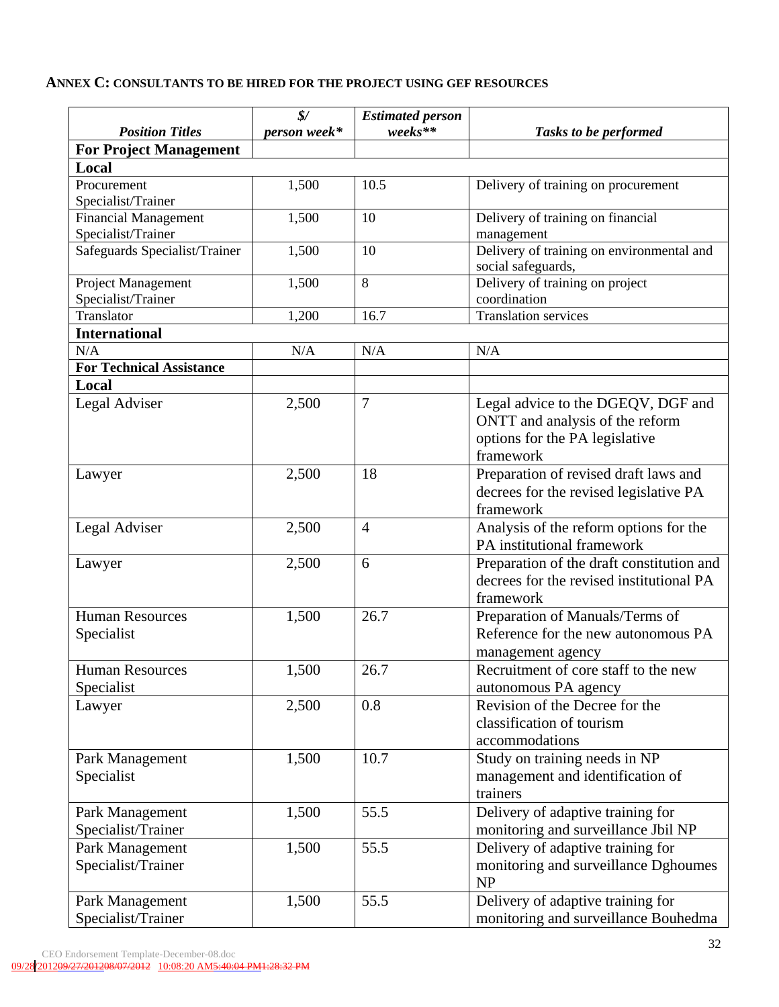#### **ANNEX C: CONSULTANTS TO BE HIRED FOR THE PROJECT USING GEF RESOURCES**

|                                       | $\frac{S}{2}$ | <b>Estimated person</b> |                                                                                                                      |
|---------------------------------------|---------------|-------------------------|----------------------------------------------------------------------------------------------------------------------|
| <b>Position Titles</b>                | person week*  | weeks**                 | Tasks to be performed                                                                                                |
| <b>For Project Management</b>         |               |                         |                                                                                                                      |
| Local                                 |               |                         |                                                                                                                      |
| Procurement                           | 1,500         | 10.5                    | Delivery of training on procurement                                                                                  |
| Specialist/Trainer                    |               |                         |                                                                                                                      |
| <b>Financial Management</b>           | 1,500         | 10                      | Delivery of training on financial                                                                                    |
| Specialist/Trainer                    |               |                         | management                                                                                                           |
| Safeguards Specialist/Trainer         | 1,500         | 10                      | Delivery of training on environmental and<br>social safeguards,                                                      |
| Project Management                    | 1,500         | 8                       | Delivery of training on project                                                                                      |
| Specialist/Trainer                    |               |                         | coordination                                                                                                         |
| Translator                            | 1,200         | 16.7                    | <b>Translation services</b>                                                                                          |
| <b>International</b>                  |               |                         |                                                                                                                      |
| N/A                                   | N/A           | N/A                     | N/A                                                                                                                  |
| <b>For Technical Assistance</b>       |               |                         |                                                                                                                      |
| Local                                 |               |                         |                                                                                                                      |
| Legal Adviser                         | 2,500         | $\tau$                  | Legal advice to the DGEQV, DGF and<br>ONTT and analysis of the reform<br>options for the PA legislative<br>framework |
| Lawyer                                | 2,500         | 18                      | Preparation of revised draft laws and<br>decrees for the revised legislative PA<br>framework                         |
| Legal Adviser                         | 2,500         | $\overline{4}$          | Analysis of the reform options for the<br>PA institutional framework                                                 |
| Lawyer                                | 2,500         | 6                       | Preparation of the draft constitution and<br>decrees for the revised institutional PA<br>framework                   |
| <b>Human Resources</b><br>Specialist  | 1,500         | 26.7                    | Preparation of Manuals/Terms of<br>Reference for the new autonomous PA<br>management agency                          |
| <b>Human Resources</b><br>Specialist  | 1,500         | 26.7                    | Recruitment of core staff to the new<br>autonomous PA agency                                                         |
| Lawyer                                | 2,500         | 0.8                     | Revision of the Decree for the<br>classification of tourism<br>accommodations                                        |
| Park Management<br>Specialist         | 1,500         | 10.7                    | Study on training needs in NP<br>management and identification of<br>trainers                                        |
| Park Management<br>Specialist/Trainer | 1,500         | 55.5                    | Delivery of adaptive training for<br>monitoring and surveillance Jbil NP                                             |
| Park Management<br>Specialist/Trainer | 1,500         | 55.5                    | Delivery of adaptive training for<br>monitoring and surveillance Dghoumes<br><b>NP</b>                               |
| Park Management<br>Specialist/Trainer | 1,500         | 55.5                    | Delivery of adaptive training for<br>monitoring and surveillance Bouhedma                                            |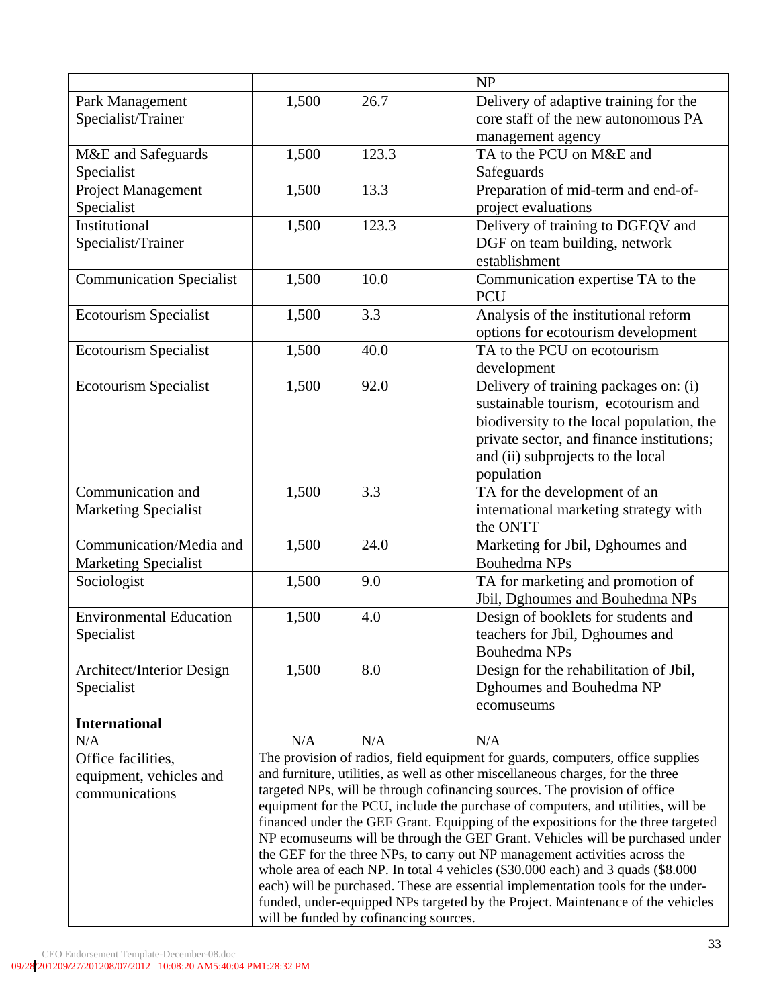|                                 |                                                                                   |                                               | NP                                        |  |  |
|---------------------------------|-----------------------------------------------------------------------------------|-----------------------------------------------|-------------------------------------------|--|--|
| Park Management                 | 1,500                                                                             | 26.7<br>Delivery of adaptive training for the |                                           |  |  |
| Specialist/Trainer              |                                                                                   |                                               | core staff of the new autonomous PA       |  |  |
|                                 |                                                                                   |                                               | management agency                         |  |  |
| M&E and Safeguards              | 1,500                                                                             | 123.3                                         | TA to the PCU on M&E and                  |  |  |
| Specialist                      |                                                                                   |                                               | Safeguards                                |  |  |
| Project Management              | 1,500                                                                             | 13.3                                          | Preparation of mid-term and end-of-       |  |  |
| Specialist                      |                                                                                   |                                               | project evaluations                       |  |  |
| Institutional                   | 1,500                                                                             | 123.3                                         | Delivery of training to DGEQV and         |  |  |
|                                 |                                                                                   |                                               |                                           |  |  |
| Specialist/Trainer              |                                                                                   | DGF on team building, network                 |                                           |  |  |
|                                 |                                                                                   |                                               | establishment                             |  |  |
| <b>Communication Specialist</b> | 1,500                                                                             | 10.0                                          | Communication expertise TA to the         |  |  |
|                                 |                                                                                   |                                               | <b>PCU</b>                                |  |  |
| <b>Ecotourism Specialist</b>    | 1,500                                                                             | 3.3                                           | Analysis of the institutional reform      |  |  |
|                                 |                                                                                   |                                               | options for ecotourism development        |  |  |
| Ecotourism Specialist           | 1,500                                                                             | 40.0                                          | TA to the PCU on ecotourism               |  |  |
|                                 |                                                                                   |                                               | development                               |  |  |
| <b>Ecotourism Specialist</b>    | 1,500                                                                             | 92.0                                          | Delivery of training packages on: (i)     |  |  |
|                                 |                                                                                   |                                               | sustainable tourism, ecotourism and       |  |  |
|                                 |                                                                                   |                                               | biodiversity to the local population, the |  |  |
|                                 |                                                                                   |                                               | private sector, and finance institutions; |  |  |
|                                 | and (ii) subprojects to the local                                                 |                                               |                                           |  |  |
|                                 | population                                                                        |                                               |                                           |  |  |
| Communication and               | 1,500                                                                             | 3.3                                           | TA for the development of an              |  |  |
| <b>Marketing Specialist</b>     |                                                                                   |                                               | international marketing strategy with     |  |  |
|                                 | the ONTT                                                                          |                                               |                                           |  |  |
| Communication/Media and         | 1,500                                                                             | 24.0                                          | Marketing for Jbil, Dghoumes and          |  |  |
| <b>Marketing Specialist</b>     | Bouhedma NPs                                                                      |                                               |                                           |  |  |
| Sociologist                     | 1,500                                                                             | 9.0<br>TA for marketing and promotion of      |                                           |  |  |
|                                 |                                                                                   |                                               | Jbil, Dghoumes and Bouhedma NPs           |  |  |
| <b>Environmental Education</b>  | 1,500                                                                             | 4.0                                           | Design of booklets for students and       |  |  |
| Specialist                      |                                                                                   |                                               | teachers for Jbil, Dghoumes and           |  |  |
|                                 | <b>Bouhedma NPs</b>                                                               |                                               |                                           |  |  |
| Architect/Interior Design       | 1,500                                                                             | 8.0                                           | Design for the rehabilitation of Jbil,    |  |  |
| Specialist                      |                                                                                   |                                               | Dghoumes and Bouhedma NP                  |  |  |
|                                 |                                                                                   |                                               | ecomuseums                                |  |  |
| <b>International</b>            |                                                                                   |                                               |                                           |  |  |
| N/A                             | N/A                                                                               | N/A                                           | N/A                                       |  |  |
| Office facilities,              | The provision of radios, field equipment for guards, computers, office supplies   |                                               |                                           |  |  |
| equipment, vehicles and         | and furniture, utilities, as well as other miscellaneous charges, for the three   |                                               |                                           |  |  |
| communications                  | targeted NPs, will be through cofinancing sources. The provision of office        |                                               |                                           |  |  |
|                                 | equipment for the PCU, include the purchase of computers, and utilities, will be  |                                               |                                           |  |  |
|                                 | financed under the GEF Grant. Equipping of the expositions for the three targeted |                                               |                                           |  |  |
|                                 | NP ecomuseums will be through the GEF Grant. Vehicles will be purchased under     |                                               |                                           |  |  |
|                                 | the GEF for the three NPs, to carry out NP management activities across the       |                                               |                                           |  |  |
|                                 | whole area of each NP. In total 4 vehicles (\$30.000 each) and 3 quads (\$8.000   |                                               |                                           |  |  |
|                                 | each) will be purchased. These are essential implementation tools for the under-  |                                               |                                           |  |  |
|                                 | funded, under-equipped NPs targeted by the Project. Maintenance of the vehicles   |                                               |                                           |  |  |
|                                 | will be funded by cofinancing sources.                                            |                                               |                                           |  |  |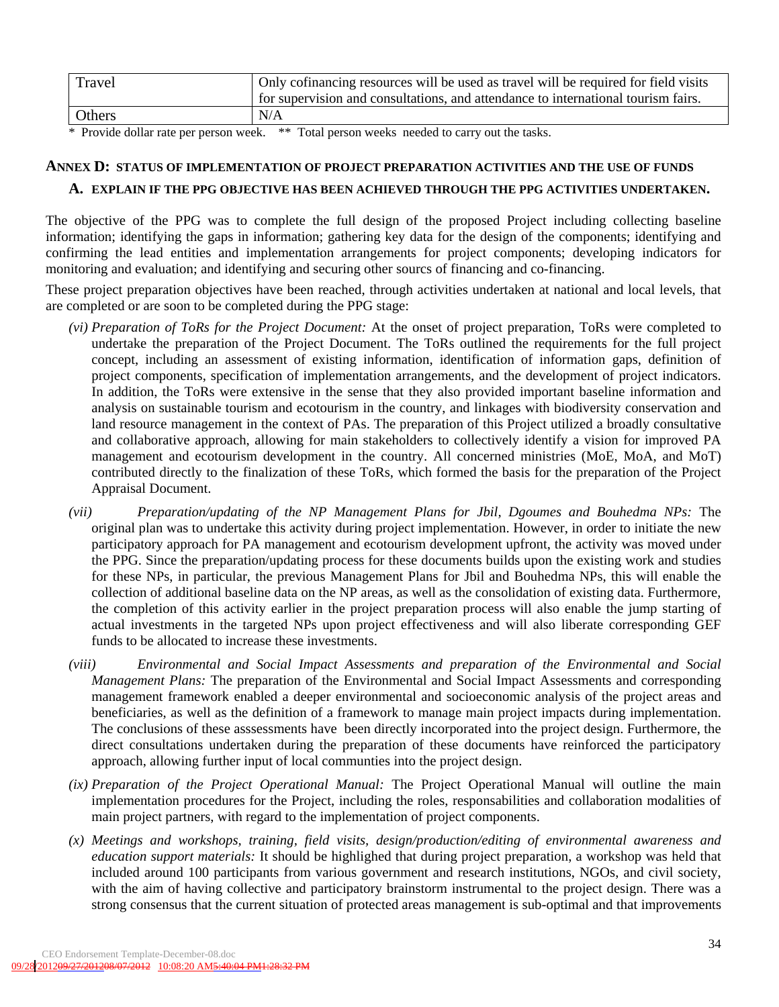| Travel | Only cofinancing resources will be used as travel will be required for field visits |
|--------|-------------------------------------------------------------------------------------|
|        | for supervision and consultations, and attendance to international tourism fairs.   |
| Others | N/A                                                                                 |

\* Provide dollar rate per person week. \*\* Total person weeks needed to carry out the tasks.

# **ANNEX D: STATUS OF IMPLEMENTATION OF PROJECT PREPARATION ACTIVITIES AND THE USE OF FUNDS**

### **A. EXPLAIN IF THE PPG OBJECTIVE HAS BEEN ACHIEVED THROUGH THE PPG ACTIVITIES UNDERTAKEN.**

The objective of the PPG was to complete the full design of the proposed Project including collecting baseline information; identifying the gaps in information; gathering key data for the design of the components; identifying and confirming the lead entities and implementation arrangements for project components; developing indicators for monitoring and evaluation; and identifying and securing other sourcs of financing and co-financing.

These project preparation objectives have been reached, through activities undertaken at national and local levels, that are completed or are soon to be completed during the PPG stage:

- *(vi) Preparation of ToRs for the Project Document:* At the onset of project preparation, ToRs were completed to undertake the preparation of the Project Document. The ToRs outlined the requirements for the full project concept, including an assessment of existing information, identification of information gaps, definition of project components, specification of implementation arrangements, and the development of project indicators. In addition, the ToRs were extensive in the sense that they also provided important baseline information and analysis on sustainable tourism and ecotourism in the country, and linkages with biodiversity conservation and land resource management in the context of PAs. The preparation of this Project utilized a broadly consultative and collaborative approach, allowing for main stakeholders to collectively identify a vision for improved PA management and ecotourism development in the country. All concerned ministries (MoE, MoA, and MoT) contributed directly to the finalization of these ToRs, which formed the basis for the preparation of the Project Appraisal Document.
- *(vii) Preparation/updating of the NP Management Plans for Jbil, Dgoumes and Bouhedma NPs:* The original plan was to undertake this activity during project implementation. However, in order to initiate the new participatory approach for PA management and ecotourism development upfront, the activity was moved under the PPG. Since the preparation/updating process for these documents builds upon the existing work and studies for these NPs, in particular, the previous Management Plans for Jbil and Bouhedma NPs, this will enable the collection of additional baseline data on the NP areas, as well as the consolidation of existing data. Furthermore, the completion of this activity earlier in the project preparation process will also enable the jump starting of actual investments in the targeted NPs upon project effectiveness and will also liberate corresponding GEF funds to be allocated to increase these investments.
- *(viii) Environmental and Social Impact Assessments and preparation of the Environmental and Social Management Plans:* The preparation of the Environmental and Social Impact Assessments and corresponding management framework enabled a deeper environmental and socioeconomic analysis of the project areas and beneficiaries, as well as the definition of a framework to manage main project impacts during implementation. The conclusions of these asssessments have been directly incorporated into the project design. Furthermore, the direct consultations undertaken during the preparation of these documents have reinforced the participatory approach, allowing further input of local communties into the project design.
- *(ix) Preparation of the Project Operational Manual:* The Project Operational Manual will outline the main implementation procedures for the Project, including the roles, responsabilities and collaboration modalities of main project partners, with regard to the implementation of project components.
- *(x) Meetings and workshops, training, field visits, design/production/editing of environmental awareness and education support materials:* It should be highlighed that during project preparation, a workshop was held that included around 100 participants from various government and research institutions, NGOs, and civil society, with the aim of having collective and participatory brainstorm instrumental to the project design. There was a strong consensus that the current situation of protected areas management is sub-optimal and that improvements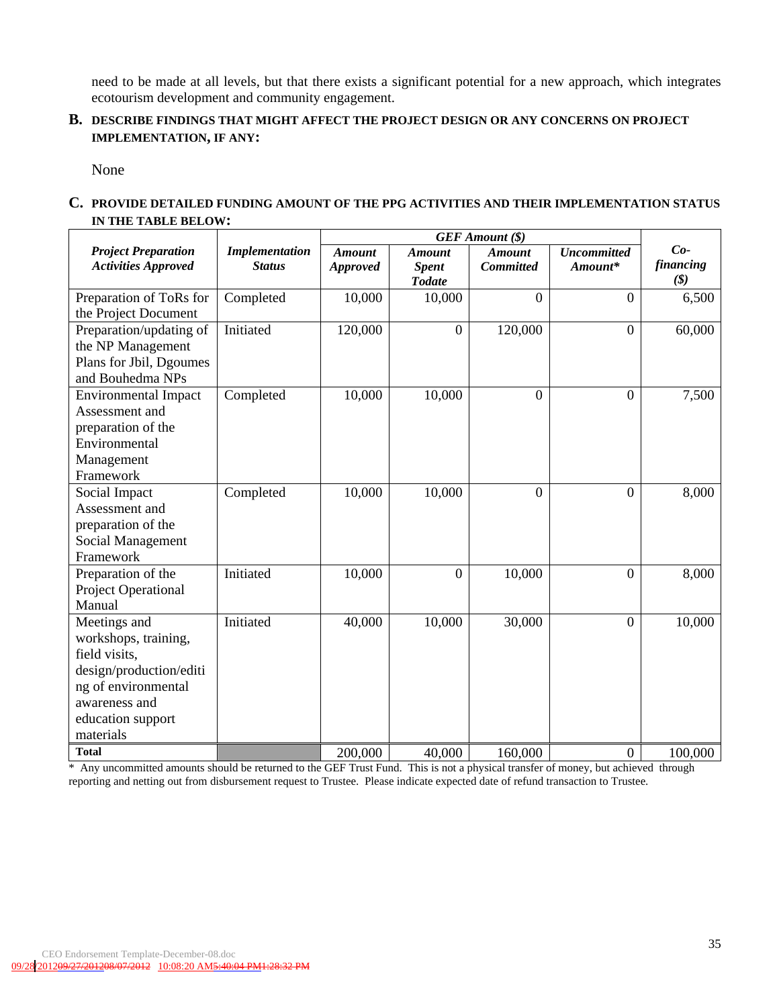need to be made at all levels, but that there exists a significant potential for a new approach, which integrates ecotourism development and community engagement.

#### **B. DESCRIBE FINDINGS THAT MIGHT AFFECT THE PROJECT DESIGN OR ANY CONCERNS ON PROJECT IMPLEMENTATION, IF ANY:**

None

#### **C. PROVIDE DETAILED FUNDING AMOUNT OF THE PPG ACTIVITIES AND THEIR IMPLEMENTATION STATUS IN THE TABLE BELOW:**

|                                                                                                                                                            |                                        | <b>GEF</b> Amount (\$)           |                                                |                                   |                               |                                                    |
|------------------------------------------------------------------------------------------------------------------------------------------------------------|----------------------------------------|----------------------------------|------------------------------------------------|-----------------------------------|-------------------------------|----------------------------------------------------|
| <b>Project Preparation</b><br><b>Activities Approved</b>                                                                                                   | <b>Implementation</b><br><b>Status</b> | <b>Amount</b><br><b>Approved</b> | <b>Amount</b><br><b>Spent</b><br><b>Todate</b> | <b>Amount</b><br><b>Committed</b> | <b>Uncommitted</b><br>Amount* | $Co-$<br>financing<br>$(\boldsymbol{\mathcal{S}})$ |
| Preparation of ToRs for<br>the Project Document                                                                                                            | Completed                              | 10,000                           | 10,000                                         | $\overline{0}$                    | $\theta$                      | 6,500                                              |
| Preparation/updating of<br>the NP Management<br>Plans for Jbil, Dgoumes<br>and Bouhedma NPs                                                                | Initiated                              | 120,000                          | $\boldsymbol{0}$                               | 120,000                           | $\boldsymbol{0}$              | 60,000                                             |
| <b>Environmental Impact</b><br>Assessment and<br>preparation of the<br>Environmental<br>Management<br>Framework                                            | Completed                              | 10,000                           | 10,000                                         | $\Omega$                          | $\overline{0}$                | 7,500                                              |
| Social Impact<br>Assessment and<br>preparation of the<br>Social Management<br>Framework                                                                    | Completed                              | 10,000                           | 10,000                                         | $\Omega$                          | $\overline{0}$                | 8,000                                              |
| Preparation of the<br><b>Project Operational</b><br>Manual                                                                                                 | Initiated                              | 10,000                           | $\overline{0}$                                 | 10,000                            | $\boldsymbol{0}$              | 8,000                                              |
| Meetings and<br>workshops, training,<br>field visits,<br>design/production/editi<br>ng of environmental<br>awareness and<br>education support<br>materials | Initiated                              | 40,000                           | 10,000                                         | 30,000                            | $\overline{0}$                | 10,000                                             |
| <b>Total</b>                                                                                                                                               |                                        | 200,000                          | 40,000                                         | 160,000                           | $\boldsymbol{0}$              | 100,000                                            |

\* Any uncommitted amounts should be returned to the GEF Trust Fund. This is not a physical transfer of money, but achieved through reporting and netting out from disbursement request to Trustee. Please indicate expected date of refund transaction to Trustee.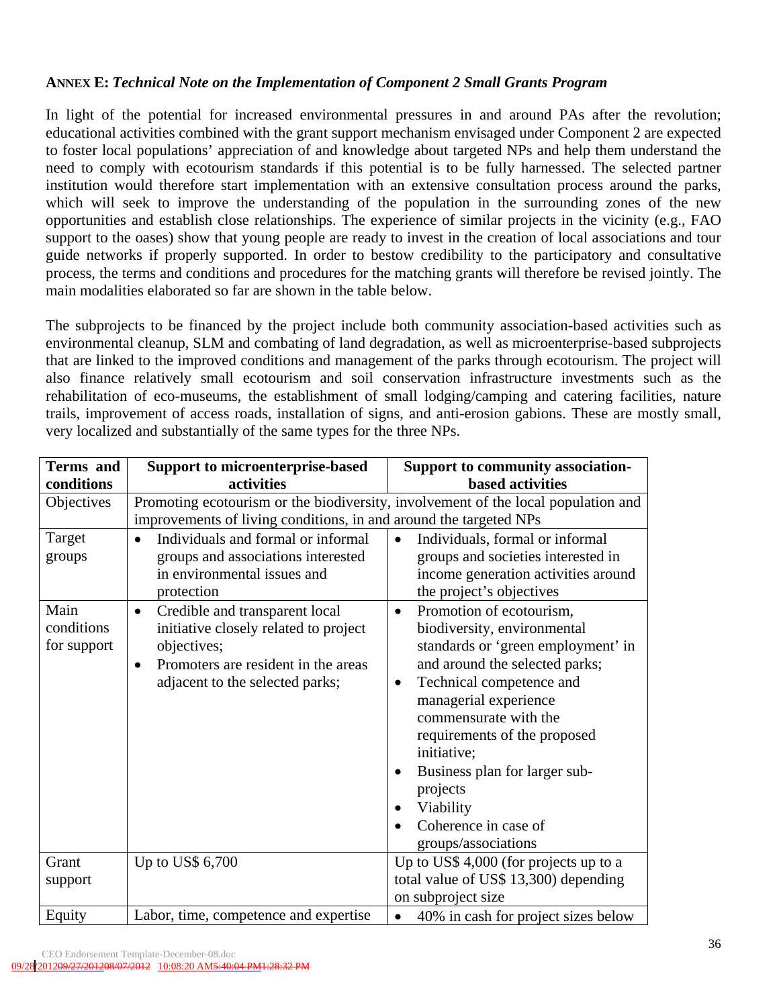### **ANNEX E:** *Technical Note on the Implementation of Component 2 Small Grants Program*

In light of the potential for increased environmental pressures in and around PAs after the revolution; educational activities combined with the grant support mechanism envisaged under Component 2 are expected to foster local populations' appreciation of and knowledge about targeted NPs and help them understand the need to comply with ecotourism standards if this potential is to be fully harnessed. The selected partner institution would therefore start implementation with an extensive consultation process around the parks, which will seek to improve the understanding of the population in the surrounding zones of the new opportunities and establish close relationships. The experience of similar projects in the vicinity (e.g., FAO support to the oases) show that young people are ready to invest in the creation of local associations and tour guide networks if properly supported. In order to bestow credibility to the participatory and consultative process, the terms and conditions and procedures for the matching grants will therefore be revised jointly. The main modalities elaborated so far are shown in the table below.

The subprojects to be financed by the project include both community association-based activities such as environmental cleanup, SLM and combating of land degradation, as well as microenterprise-based subprojects that are linked to the improved conditions and management of the parks through ecotourism. The project will also finance relatively small ecotourism and soil conservation infrastructure investments such as the rehabilitation of eco-museums, the establishment of small lodging/camping and catering facilities, nature trails, improvement of access roads, installation of signs, and anti-erosion gabions. These are mostly small, very localized and substantially of the same types for the three NPs.

| <b>Terms</b> and                  | <b>Support to microenterprise-based</b>                                                                                                                                                    | Support to community association-                                                                                                                                                                                                                                                                                                                                                                    |
|-----------------------------------|--------------------------------------------------------------------------------------------------------------------------------------------------------------------------------------------|------------------------------------------------------------------------------------------------------------------------------------------------------------------------------------------------------------------------------------------------------------------------------------------------------------------------------------------------------------------------------------------------------|
| conditions                        | activities                                                                                                                                                                                 | <b>based activities</b>                                                                                                                                                                                                                                                                                                                                                                              |
| Objectives                        | improvements of living conditions, in and around the targeted NPs                                                                                                                          | Promoting ecotourism or the biodiversity, involvement of the local population and                                                                                                                                                                                                                                                                                                                    |
| Target<br>groups                  | Individuals and formal or informal<br>$\bullet$<br>groups and associations interested<br>in environmental issues and<br>protection                                                         | Individuals, formal or informal<br>$\bullet$<br>groups and societies interested in<br>income generation activities around<br>the project's objectives                                                                                                                                                                                                                                                |
| Main<br>conditions<br>for support | Credible and transparent local<br>$\bullet$<br>initiative closely related to project<br>objectives;<br>Promoters are resident in the areas<br>$\bullet$<br>adjacent to the selected parks; | Promotion of ecotourism,<br>$\bullet$<br>biodiversity, environmental<br>standards or 'green employment' in<br>and around the selected parks;<br>Technical competence and<br>$\bullet$<br>managerial experience<br>commensurate with the<br>requirements of the proposed<br>initiative;<br>Business plan for larger sub-<br>٠<br>projects<br>Viability<br>Coherence in case of<br>groups/associations |
| Grant                             | Up to US\$ 6,700                                                                                                                                                                           | Up to US\$ 4,000 (for projects up to a                                                                                                                                                                                                                                                                                                                                                               |
| support                           |                                                                                                                                                                                            | total value of US\$ 13,300) depending                                                                                                                                                                                                                                                                                                                                                                |
|                                   |                                                                                                                                                                                            | on subproject size                                                                                                                                                                                                                                                                                                                                                                                   |
| Equity                            | Labor, time, competence and expertise                                                                                                                                                      | 40% in cash for project sizes below<br>$\bullet$                                                                                                                                                                                                                                                                                                                                                     |